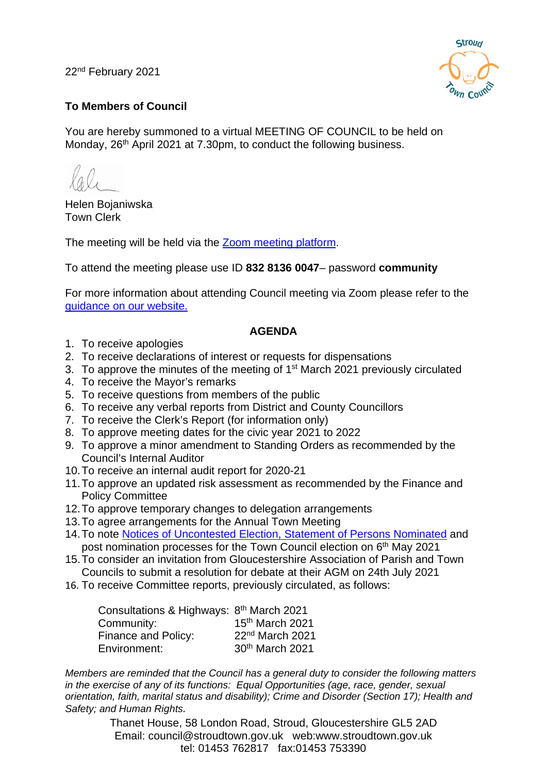22nd February 2021



### **To Members of Council**

You are hereby summoned to a virtual MEETING OF COUNCIL to be held on Monday, 26<sup>th</sup> April 2021 at 7.30pm, to conduct the following business.

Helen Bojaniwska Town Clerk

The meeting will be held via the [Zoom meeting platform.](https://www.zoom.us/join)

To attend the meeting please use ID **832 8136 0047**– password **community**

For more information about attending Council meeting via Zoom please refer to the [guidance on our website.](https://www.stroudtown.gov.uk/uploads/taking-part-in-an-stc-zoom-meeting-april-2020.pdf)

#### **AGENDA**

- 1. To receive apologies
- 2. To receive declarations of interest or requests for dispensations
- 3. To approve the minutes of the meeting of 1<sup>st</sup> March 2021 previously circulated
- 4. To receive the Mayor's remarks
- 5. To receive questions from members of the public
- 6. To receive any verbal reports from District and County Councillors
- 7. To receive the Clerk's Report (for information only)
- 8. To approve meeting dates for the civic year 2021 to 2022
- 9. To approve a minor amendment to Standing Orders as recommended by the Council's Internal Auditor
- 10.To receive an internal audit report for 2020-21
- 11.To approve an updated risk assessment as recommended by the Finance and Policy Committee
- 12.To approve temporary changes to delegation arrangements
- 13.To agree arrangements for the Annual Town Meeting
- 14. To note **Notices of Uncontested Election, Statement of Persons Nominated and** post nomination processes for the Town Council election on 6<sup>th</sup> May 2021
- 15.To consider an invitation from Gloucestershire Association of Parish and Town Councils to submit a resolution for debate at their AGM on 24th July 2021
- 16. To receive Committee reports, previously circulated, as follows:

| Consultations & Highways: 8th March 2021 |                             |
|------------------------------------------|-----------------------------|
| Community:                               | 15th March 2021             |
| Finance and Policy:                      | 22 <sup>nd</sup> March 2021 |
| Environment:                             | 30th March 2021             |

*Members are reminded that the Council has a general duty to consider the following matters in the exercise of any of its functions: Equal Opportunities (age, race, gender, sexual orientation, faith, marital status and disability); Crime and Disorder (Section 17); Health and Safety; and Human Rights.*

> Thanet House, 58 London Road, Stroud, Gloucestershire GL5 2AD Email: council@stroudtown.gov.uk web:www.stroudtown.gov.uk tel: 01453 762817 fax:01453 753390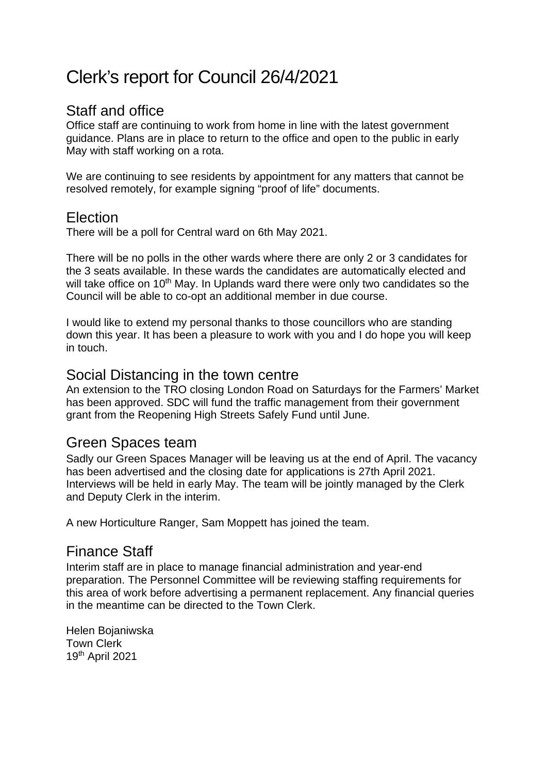## Clerk's report for Council 26/4/2021

## Staff and office

Office staff are continuing to work from home in line with the latest government guidance. Plans are in place to return to the office and open to the public in early May with staff working on a rota.

We are continuing to see residents by appointment for any matters that cannot be resolved remotely, for example signing "proof of life" documents.

## Election

There will be a poll for Central ward on 6th May 2021.

There will be no polls in the other wards where there are only 2 or 3 candidates for the 3 seats available. In these wards the candidates are automatically elected and will take office on 10<sup>th</sup> May. In Uplands ward there were only two candidates so the Council will be able to co-opt an additional member in due course.

I would like to extend my personal thanks to those councillors who are standing down this year. It has been a pleasure to work with you and I do hope you will keep in touch.

### Social Distancing in the town centre

An extension to the TRO closing London Road on Saturdays for the Farmers' Market has been approved. SDC will fund the traffic management from their government grant from the Reopening High Streets Safely Fund until June.

## Green Spaces team

Sadly our Green Spaces Manager will be leaving us at the end of April. The vacancy has been advertised and the closing date for applications is 27th April 2021. Interviews will be held in early May. The team will be jointly managed by the Clerk and Deputy Clerk in the interim.

A new Horticulture Ranger, Sam Moppett has joined the team.

## Finance Staff

Interim staff are in place to manage financial administration and year-end preparation. The Personnel Committee will be reviewing staffing requirements for this area of work before advertising a permanent replacement. Any financial queries in the meantime can be directed to the Town Clerk.

Helen Bojaniwska Town Clerk 19th April 2021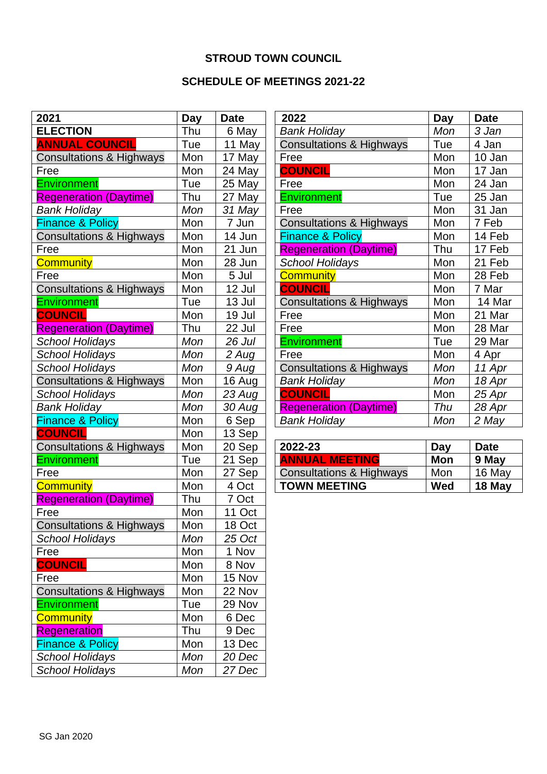### **STROUD TOWN COUNCIL**

### **SCHEDULE OF MEETINGS 2021-22**

| 2021                                | <b>Day</b> | <b>Date</b> |
|-------------------------------------|------------|-------------|
| <b>ELECTION</b>                     | Thu        | 6 May       |
| <b>ANNUAL COUNCIL</b>               | Tue        | 11 May      |
| <b>Consultations &amp; Highways</b> | Mon        | 17 May      |
| Free                                | Mon        | 24 May      |
| <b>Environment</b>                  | Tue        | 25 May      |
| <b>Regeneration (Daytime)</b>       | Thu        | 27 May      |
| Bank Holiday                        | Mon        | 31 May      |
| <b>Finance &amp; Policy</b>         | Mon        | 7 Jun       |
| <b>Consultations &amp; Highways</b> | Mon        | 14 Jun      |
| Free                                | Mon        | 21 Jun      |
| <b>Community</b>                    | Mon        | 28 Jun      |
| Free                                | Mon        | 5 Jul       |
| Consultations & Highways            | Mon        | 12 Jul      |
| <b>Environment</b>                  | Tue        | 13 Jul      |
| <b>COUNCIL</b>                      | Mon        | 19 Jul      |
| <b>Regeneration (Daytime)</b>       | Thu        | 22 Jul      |
| <b>School Holidays</b>              | Mon        | 26 Jul      |
| <b>School Holidays</b>              | Mon        | 2 Aug       |
| <b>School Holidays</b>              | Mon        | 9 Aug       |
| <b>Consultations &amp; Highways</b> | Mon        | 16 Aug      |
| <b>School Holidays</b>              | Mon        | 23 Aug      |
| <b>Bank Holiday</b>                 | Mon        | 30 Aug      |
| <b>Finance &amp; Policy</b>         | Mon        | 6 Sep       |
| <b>COUNCIL</b>                      | Mon        | 13 Sep      |
| <b>Consultations &amp; Highways</b> | Mon        | 20 Sep      |
| <b>Environment</b>                  | Tue        | 21 Sep      |
| Free                                | Mon        | 27 Sep      |
| <b>Community</b>                    | Mon        | 4 Oct       |
| <b>Regeneration (Daytime)</b>       | Thu        | 7 Oct       |
| Free                                | Mon        | 11 Oct      |
| <b>Consultations &amp; Highways</b> | Mon        | 18 Oct      |
| <b>School Holidays</b>              | Mon        | 25 Oct      |
| Free                                | Mon        | 1 Nov       |
| <b>COUNCIL</b>                      | Mon        | 8 Nov       |
| Free                                | Mon        | 15 Nov      |
| <b>Consultations &amp; Highways</b> | Mon        | 22 Nov      |
| <b>Environment</b>                  | Tue        | 29 Nov      |
| <b>Community</b>                    | Mon        | 6 Dec       |
| <b>Regeneration</b>                 | Thu        | 9 Dec       |
| <b>Finance &amp; Policy</b>         | Mon        | 13 Dec      |
| <b>School Holidays</b>              | Mon        | 20 Dec      |
| <b>School Holidays</b>              | Mon        | 27 Dec      |

| 2022                                | <b>Day</b> | <b>Date</b> |
|-------------------------------------|------------|-------------|
| Bank Holiday                        | Mon        | 3 Jan       |
| <b>Consultations &amp; Highways</b> | Tue        | 4 Jan       |
| Free                                | Mon        | 10 Jan      |
| <b>COUNCIL</b>                      | Mon        | 17 Jan      |
| Free                                | Mon        | 24 Jan      |
| <b>Environment</b>                  | Tue        | 25 Jan      |
| Free                                | Mon        | 31 Jan      |
| <b>Consultations &amp; Highways</b> | Mon        | 7 Feb       |
| <b>Finance &amp; Policy</b>         | Mon        | 14 Feb      |
| <b>Regeneration (Daytime)</b>       | Thu        | 17 Feb      |
| <b>School Holidays</b>              | Mon        | 21 Feb      |
| <b>Community</b>                    | Mon        | 28 Feb      |
| <b>COUNCIL</b>                      | Mon        | 7 Mar       |
| <b>Consultations &amp; Highways</b> | Mon        | 14 Mar      |
| Free                                | Mon        | 21 Mar      |
| Free                                | Mon        | 28 Mar      |
| Environment                         | Tue        | 29 Mar      |
| Free                                | Mon        | 4 Apr       |
| <b>Consultations &amp; Highways</b> | Mon        | 11 Apr      |
| <b>Bank Holiday</b>                 | Mon        | 18 Apr      |
| <b>COUNCIL</b>                      | Mon        | 25 Apr      |
| <b>Regeneration (Daytime)</b>       | Thu        | 28 Apr      |
| <b>Bank Holiday</b>                 | Mon        | 2 May       |

| 2022-23                             | Day | <b>Date</b> |
|-------------------------------------|-----|-------------|
| <b>ANNUAL MEETING</b>               | Mon | 9 May       |
| <b>Consultations &amp; Highways</b> | Mon | 16 May      |
| <b>TOWN MEETING</b>                 | Wed | 18 May      |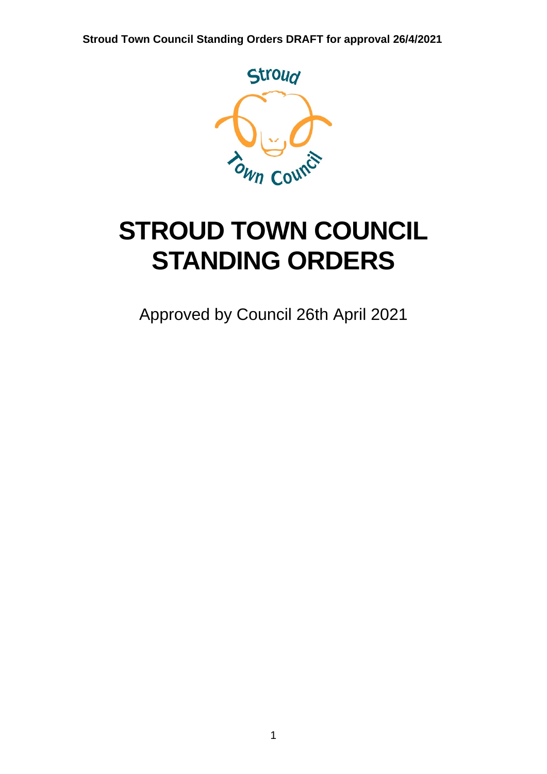

# **STROUD TOWN COUNCIL STANDING ORDERS**

Approved by Council 26th April 2021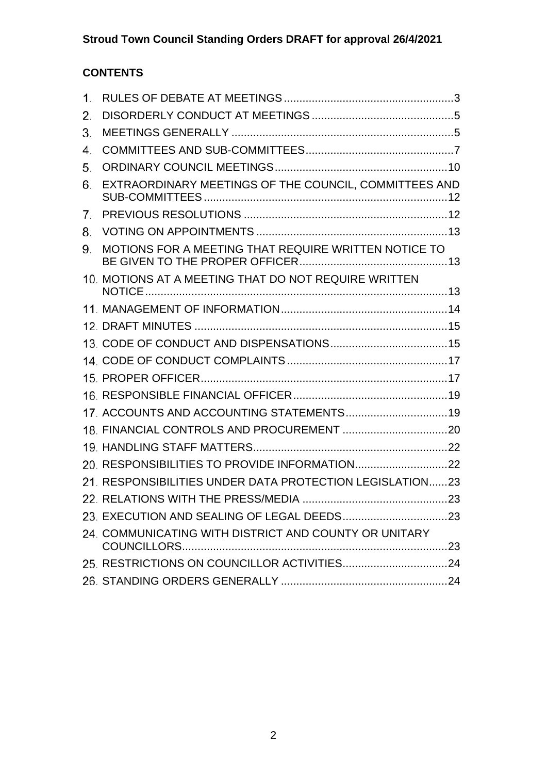## **CONTENTS**

| 1. |                                                          |  |
|----|----------------------------------------------------------|--|
| 2. |                                                          |  |
| 3. |                                                          |  |
| 4. |                                                          |  |
| 5. |                                                          |  |
| 6. | EXTRAORDINARY MEETINGS OF THE COUNCIL, COMMITTEES AND    |  |
| 7. |                                                          |  |
| 8. |                                                          |  |
| 9. | MOTIONS FOR A MEETING THAT REQUIRE WRITTEN NOTICE TO     |  |
|    | 10. MOTIONS AT A MEETING THAT DO NOT REQUIRE WRITTEN     |  |
|    |                                                          |  |
|    |                                                          |  |
|    |                                                          |  |
|    |                                                          |  |
|    |                                                          |  |
|    |                                                          |  |
|    |                                                          |  |
|    |                                                          |  |
|    |                                                          |  |
|    |                                                          |  |
|    | 21. RESPONSIBILITIES UNDER DATA PROTECTION LEGISLATION23 |  |
|    |                                                          |  |
|    |                                                          |  |
|    | 24. COMMUNICATING WITH DISTRICT AND COUNTY OR UNITARY    |  |
|    |                                                          |  |
|    |                                                          |  |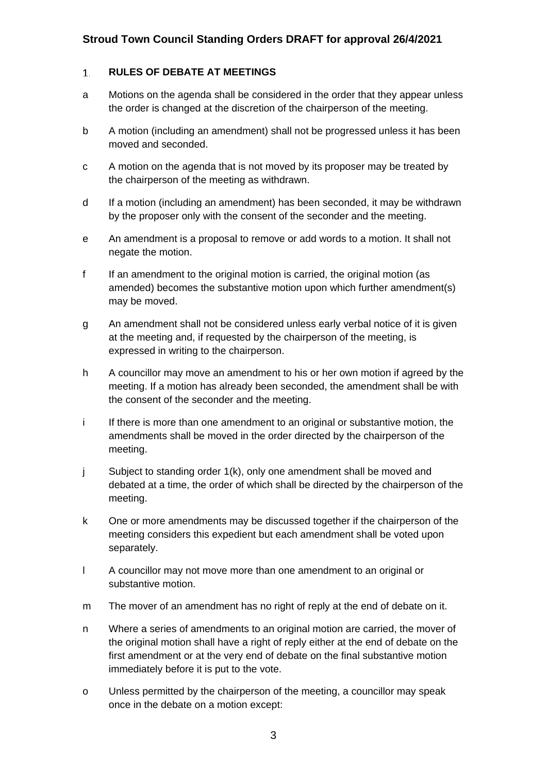#### <span id="page-5-0"></span> $1.$ **RULES OF DEBATE AT MEETINGS**

- a Motions on the agenda shall be considered in the order that they appear unless the order is changed at the discretion of the chairperson of the meeting.
- b A motion (including an amendment) shall not be progressed unless it has been moved and seconded.
- c A motion on the agenda that is not moved by its proposer may be treated by the chairperson of the meeting as withdrawn.
- d If a motion (including an amendment) has been seconded, it may be withdrawn by the proposer only with the consent of the seconder and the meeting.
- e An amendment is a proposal to remove or add words to a motion. It shall not negate the motion.
- f If an amendment to the original motion is carried, the original motion (as amended) becomes the substantive motion upon which further amendment(s) may be moved.
- g An amendment shall not be considered unless early verbal notice of it is given at the meeting and, if requested by the chairperson of the meeting, is expressed in writing to the chairperson.
- h A councillor may move an amendment to his or her own motion if agreed by the meeting. If a motion has already been seconded, the amendment shall be with the consent of the seconder and the meeting.
- i If there is more than one amendment to an original or substantive motion, the amendments shall be moved in the order directed by the chairperson of the meeting.
- j Subject to standing order 1(k), only one amendment shall be moved and debated at a time, the order of which shall be directed by the chairperson of the meeting.
- k One or more amendments may be discussed together if the chairperson of the meeting considers this expedient but each amendment shall be voted upon separately.
- l A councillor may not move more than one amendment to an original or substantive motion.
- m The mover of an amendment has no right of reply at the end of debate on it.
- n Where a series of amendments to an original motion are carried, the mover of the original motion shall have a right of reply either at the end of debate on the first amendment or at the very end of debate on the final substantive motion immediately before it is put to the vote.
- o Unless permitted by the chairperson of the meeting, a councillor may speak once in the debate on a motion except: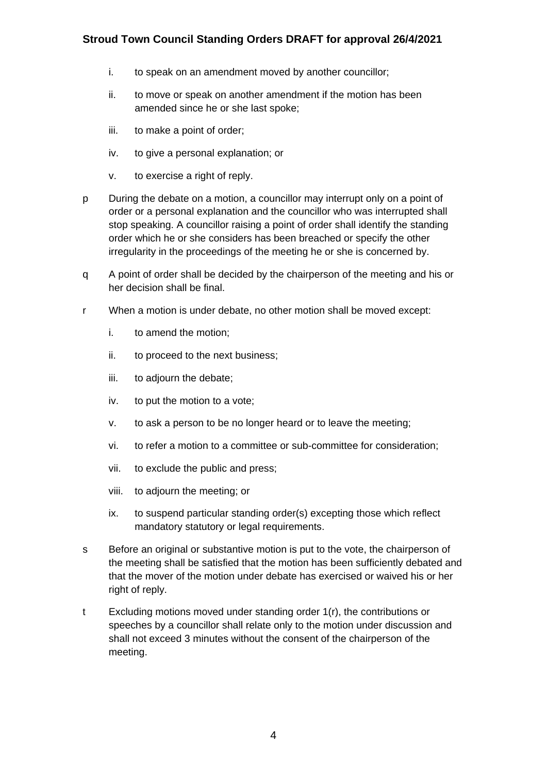- i. to speak on an amendment moved by another councillor;
- ii. to move or speak on another amendment if the motion has been amended since he or she last spoke;
- iii. to make a point of order;
- iv. to give a personal explanation; or
- v. to exercise a right of reply.
- p During the debate on a motion, a councillor may interrupt only on a point of order or a personal explanation and the councillor who was interrupted shall stop speaking. A councillor raising a point of order shall identify the standing order which he or she considers has been breached or specify the other irregularity in the proceedings of the meeting he or she is concerned by.
- q A point of order shall be decided by the chairperson of the meeting and his or her decision shall be final.
- r When a motion is under debate, no other motion shall be moved except:
	- i. to amend the motion;
	- ii. to proceed to the next business;
	- iii. to adjourn the debate;
	- iv. to put the motion to a vote;
	- v. to ask a person to be no longer heard or to leave the meeting;
	- vi. to refer a motion to a committee or sub-committee for consideration;
	- vii. to exclude the public and press;
	- viii. to adjourn the meeting; or
	- ix. to suspend particular standing order(s) excepting those which reflect mandatory statutory or legal requirements.
- s Before an original or substantive motion is put to the vote, the chairperson of the meeting shall be satisfied that the motion has been sufficiently debated and that the mover of the motion under debate has exercised or waived his or her right of reply.
- t Excluding motions moved under standing order 1(r), the contributions or speeches by a councillor shall relate only to the motion under discussion and shall not exceed 3 minutes without the consent of the chairperson of the meeting.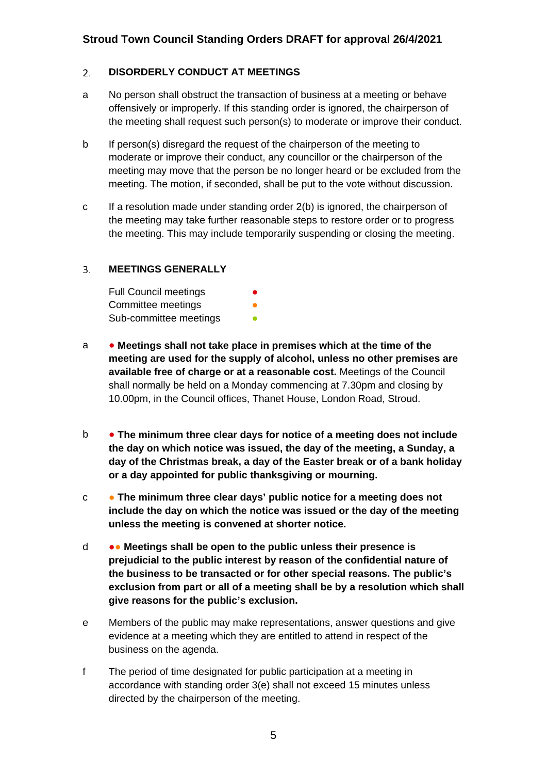#### <span id="page-7-0"></span> $2.$ **DISORDERLY CONDUCT AT MEETINGS**

- a No person shall obstruct the transaction of business at a meeting or behave offensively or improperly. If this standing order is ignored, the chairperson of the meeting shall request such person(s) to moderate or improve their conduct.
- b If person(s) disregard the request of the chairperson of the meeting to moderate or improve their conduct, any councillor or the chairperson of the meeting may move that the person be no longer heard or be excluded from the meeting. The motion, if seconded, shall be put to the vote without discussion.
- c If a resolution made under standing order 2(b) is ignored, the chairperson of the meeting may take further reasonable steps to restore order or to progress the meeting. This may include temporarily suspending or closing the meeting.

#### <span id="page-7-1"></span>**MEETINGS GENERALLY**  $3.$

| <b>Full Council meetings</b> | $\bullet$ |
|------------------------------|-----------|
| Committee meetings           | ●         |
| Sub-committee meetings       | n         |

- a **Meetings shall not take place in premises which at the time of the meeting are used for the supply of alcohol, unless no other premises are available free of charge or at a reasonable cost.** Meetings of the Council shall normally be held on a Monday commencing at 7.30pm and closing by 10.00pm, in the Council offices, Thanet House, London Road, Stroud.
- b **The minimum three clear days for notice of a meeting does not include the day on which notice was issued, the day of the meeting, a Sunday, a day of the Christmas break, a day of the Easter break or of a bank holiday or a day appointed for public thanksgiving or mourning.**
- c **The minimum three clear days' public notice for a meeting does not include the day on which the notice was issued or the day of the meeting unless the meeting is convened at shorter notice.**
- d ●● **Meetings shall be open to the public unless their presence is prejudicial to the public interest by reason of the confidential nature of the business to be transacted or for other special reasons. The public's exclusion from part or all of a meeting shall be by a resolution which shall give reasons for the public's exclusion.**
- e Members of the public may make representations, answer questions and give evidence at a meeting which they are entitled to attend in respect of the business on the agenda.
- f The period of time designated for public participation at a meeting in accordance with standing order 3(e) shall not exceed 15 minutes unless directed by the chairperson of the meeting.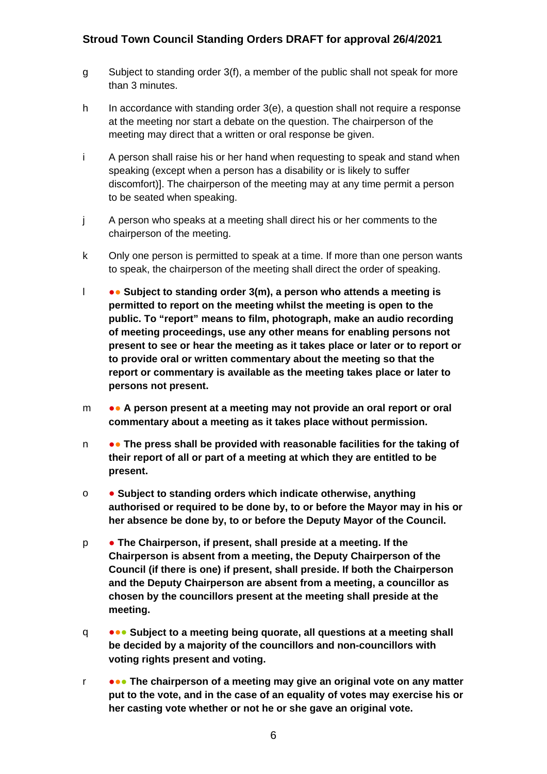- g Subject to standing order 3(f), a member of the public shall not speak for more than 3 minutes.
- h In accordance with standing order 3(e), a question shall not require a response at the meeting nor start a debate on the question. The chairperson of the meeting may direct that a written or oral response be given.
- i A person shall raise his or her hand when requesting to speak and stand when speaking (except when a person has a disability or is likely to suffer discomfort)]. The chairperson of the meeting may at any time permit a person to be seated when speaking.
- j A person who speaks at a meeting shall direct his or her comments to the chairperson of the meeting.
- k Only one person is permitted to speak at a time. If more than one person wants to speak, the chairperson of the meeting shall direct the order of speaking.
- l ●● **Subject to standing order 3(m), a person who attends a meeting is permitted to report on the meeting whilst the meeting is open to the public. To "report" means to film, photograph, make an audio recording of meeting proceedings, use any other means for enabling persons not present to see or hear the meeting as it takes place or later or to report or to provide oral or written commentary about the meeting so that the report or commentary is available as the meeting takes place or later to persons not present.**
- m ●● **A person present at a meeting may not provide an oral report or oral commentary about a meeting as it takes place without permission.**
- n ●● **The press shall be provided with reasonable facilities for the taking of their report of all or part of a meeting at which they are entitled to be present.**
- o **Subject to standing orders which indicate otherwise, anything authorised or required to be done by, to or before the Mayor may in his or her absence be done by, to or before the Deputy Mayor of the Council.**
- p **The Chairperson, if present, shall preside at a meeting. If the Chairperson is absent from a meeting, the Deputy Chairperson of the Council (if there is one) if present, shall preside. If both the Chairperson and the Deputy Chairperson are absent from a meeting, a councillor as chosen by the councillors present at the meeting shall preside at the meeting.**
- q ●●● **Subject to a meeting being quorate, all questions at a meeting shall be decided by a majority of the councillors and non-councillors with voting rights present and voting.**
- r ●●● **The chairperson of a meeting may give an original vote on any matter put to the vote, and in the case of an equality of votes may exercise his or her casting vote whether or not he or she gave an original vote.**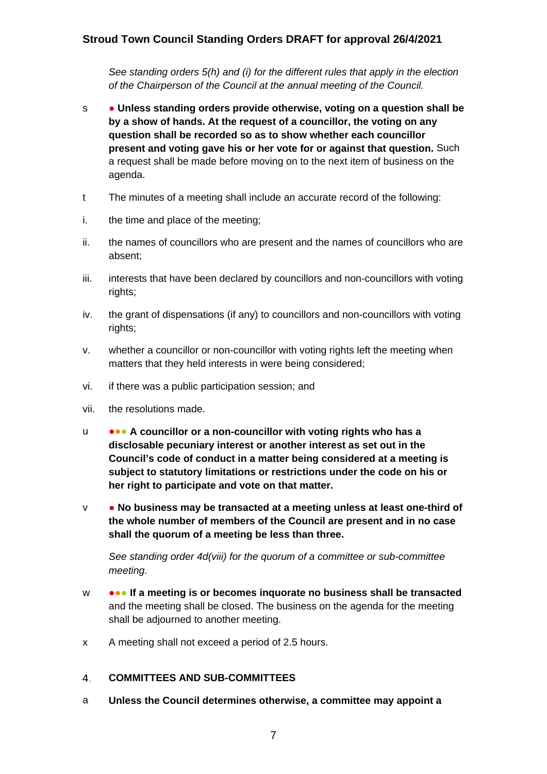*See standing orders 5(h) and (i) for the different rules that apply in the election of the Chairperson of the Council at the annual meeting of the Council.*

- s **Unless standing orders provide otherwise, voting on a question shall be by a show of hands. At the request of a councillor, the voting on any question shall be recorded so as to show whether each councillor present and voting gave his or her vote for or against that question.** Such a request shall be made before moving on to the next item of business on the agenda.
- t The minutes of a meeting shall include an accurate record of the following:
- i. the time and place of the meeting;
- ii. the names of councillors who are present and the names of councillors who are absent;
- iii. interests that have been declared by councillors and non-councillors with voting rights;
- iv. the grant of dispensations (if any) to councillors and non-councillors with voting rights;
- v. whether a councillor or non-councillor with voting rights left the meeting when matters that they held interests in were being considered;
- vi. if there was a public participation session; and
- vii. the resolutions made.
- u ●●● **A councillor or a non-councillor with voting rights who has a disclosable pecuniary interest or another interest as set out in the Council's code of conduct in a matter being considered at a meeting is subject to statutory limitations or restrictions under the code on his or her right to participate and vote on that matter.**
- v **No business may be transacted at a meeting unless at least one-third of the whole number of members of the Council are present and in no case shall the quorum of a meeting be less than three.**

*See standing order 4d(viii) for the quorum of a committee or sub-committee meeting.* 

- w ●●● **If a meeting is or becomes inquorate no business shall be transacted** and the meeting shall be closed. The business on the agenda for the meeting shall be adjourned to another meeting.
- x A meeting shall not exceed a period of 2.5 hours.

#### <span id="page-9-0"></span> $4.$ **COMMITTEES AND SUB-COMMITTEES**

a **Unless the Council determines otherwise, a committee may appoint a**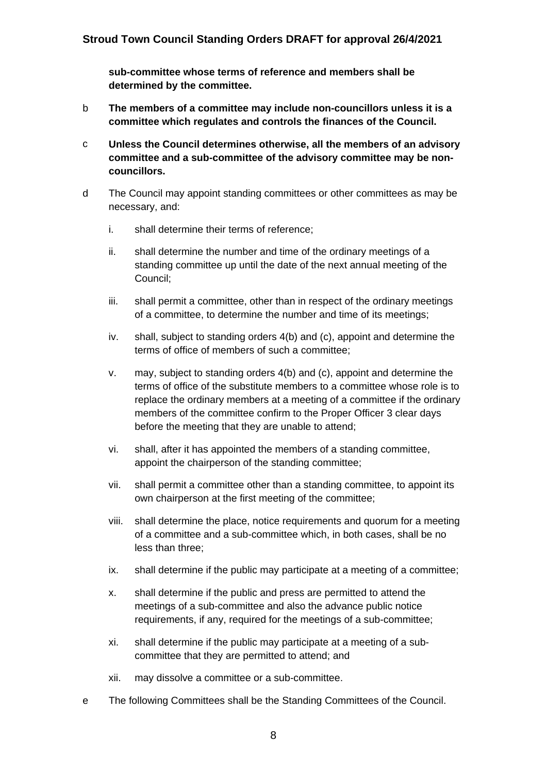**sub-committee whose terms of reference and members shall be determined by the committee.**

- b **The members of a committee may include non-councillors unless it is a committee which regulates and controls the finances of the Council.**
- c **Unless the Council determines otherwise, all the members of an advisory committee and a sub-committee of the advisory committee may be noncouncillors.**
- d The Council may appoint standing committees or other committees as may be necessary, and:
	- i. shall determine their terms of reference;
	- ii. shall determine the number and time of the ordinary meetings of a standing committee up until the date of the next annual meeting of the Council;
	- iii. shall permit a committee, other than in respect of the ordinary meetings of a committee, to determine the number and time of its meetings;
	- iv. shall, subject to standing orders 4(b) and (c), appoint and determine the terms of office of members of such a committee;
	- v. may, subject to standing orders 4(b) and (c), appoint and determine the terms of office of the substitute members to a committee whose role is to replace the ordinary members at a meeting of a committee if the ordinary members of the committee confirm to the Proper Officer 3 clear days before the meeting that they are unable to attend;
	- vi. shall, after it has appointed the members of a standing committee, appoint the chairperson of the standing committee;
	- vii. shall permit a committee other than a standing committee, to appoint its own chairperson at the first meeting of the committee;
	- viii. shall determine the place, notice requirements and quorum for a meeting of a committee and a sub-committee which, in both cases, shall be no less than three;
	- ix. shall determine if the public may participate at a meeting of a committee;
	- x. shall determine if the public and press are permitted to attend the meetings of a sub-committee and also the advance public notice requirements, if any, required for the meetings of a sub-committee;
	- xi. shall determine if the public may participate at a meeting of a subcommittee that they are permitted to attend; and
	- xii. may dissolve a committee or a sub-committee.
- e The following Committees shall be the Standing Committees of the Council.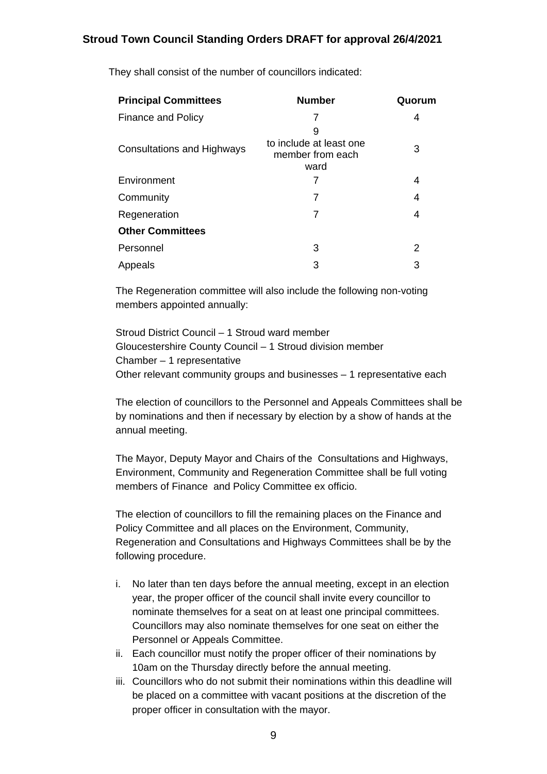| <b>Principal Committees</b>       | <b>Number</b>                                            | Quorum |
|-----------------------------------|----------------------------------------------------------|--------|
| Finance and Policy                |                                                          | 4      |
| <b>Consultations and Highways</b> | 9<br>to include at least one<br>member from each<br>ward | 3      |
| Environment                       |                                                          | 4      |
| Community                         |                                                          | 4      |
| Regeneration                      | 7                                                        | 4      |
| <b>Other Committees</b>           |                                                          |        |
| Personnel                         | 3                                                        | 2      |
| Appeals                           | 3                                                        | 3      |

They shall consist of the number of councillors indicated:

The Regeneration committee will also include the following non-voting members appointed annually:

Stroud District Council – 1 Stroud ward member Gloucestershire County Council – 1 Stroud division member Chamber – 1 representative Other relevant community groups and businesses – 1 representative each

The election of councillors to the Personnel and Appeals Committees shall be by nominations and then if necessary by election by a show of hands at the annual meeting.

The Mayor, Deputy Mayor and Chairs of the Consultations and Highways, Environment, Community and Regeneration Committee shall be full voting members of Finance and Policy Committee ex officio.

The election of councillors to fill the remaining places on the Finance and Policy Committee and all places on the Environment, Community, Regeneration and Consultations and Highways Committees shall be by the following procedure.

- i. No later than ten days before the annual meeting, except in an election year, the proper officer of the council shall invite every councillor to nominate themselves for a seat on at least one principal committees. Councillors may also nominate themselves for one seat on either the Personnel or Appeals Committee.
- ii. Each councillor must notify the proper officer of their nominations by 10am on the Thursday directly before the annual meeting.
- iii. Councillors who do not submit their nominations within this deadline will be placed on a committee with vacant positions at the discretion of the proper officer in consultation with the mayor.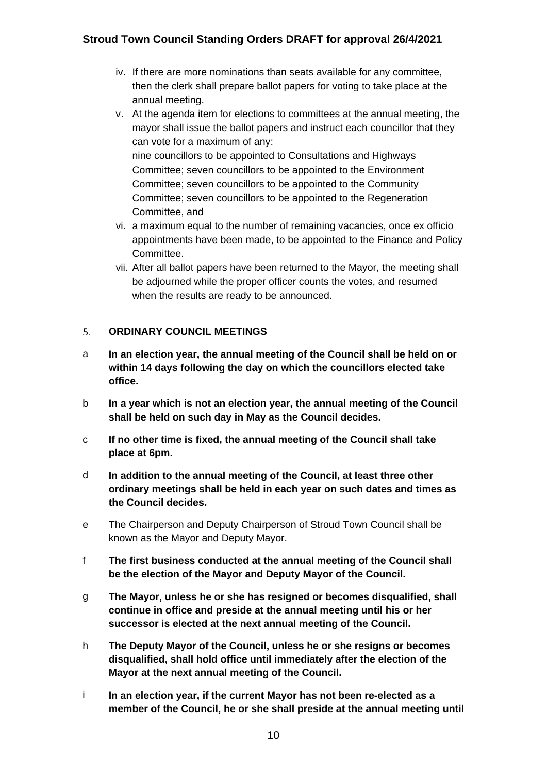- iv. If there are more nominations than seats available for any committee, then the clerk shall prepare ballot papers for voting to take place at the annual meeting.
- v. At the agenda item for elections to committees at the annual meeting, the mayor shall issue the ballot papers and instruct each councillor that they can vote for a maximum of any: nine councillors to be appointed to Consultations and Highways Committee; seven councillors to be appointed to the Environment Committee; seven councillors to be appointed to the Community Committee; seven councillors to be appointed to the Regeneration Committee, and
- vi. a maximum equal to the number of remaining vacancies, once ex officio appointments have been made, to be appointed to the Finance and Policy Committee.
- vii. After all ballot papers have been returned to the Mayor, the meeting shall be adjourned while the proper officer counts the votes, and resumed when the results are ready to be announced.

#### <span id="page-12-0"></span>**ORDINARY COUNCIL MEETINGS**   $5<sub>1</sub>$

- a **In an election year, the annual meeting of the Council shall be held on or within 14 days following the day on which the councillors elected take office.**
- b **In a year which is not an election year, the annual meeting of the Council shall be held on such day in May as the Council decides.**
- c **If no other time is fixed, the annual meeting of the Council shall take place at 6pm.**
- d **In addition to the annual meeting of the Council, at least three other ordinary meetings shall be held in each year on such dates and times as the Council decides.**
- e The Chairperson and Deputy Chairperson of Stroud Town Council shall be known as the Mayor and Deputy Mayor.
- f **The first business conducted at the annual meeting of the Council shall be the election of the Mayor and Deputy Mayor of the Council.**
- g **The Mayor, unless he or she has resigned or becomes disqualified, shall continue in office and preside at the annual meeting until his or her successor is elected at the next annual meeting of the Council.**
- h **The Deputy Mayor of the Council, unless he or she resigns or becomes disqualified, shall hold office until immediately after the election of the Mayor at the next annual meeting of the Council.**
- i **In an election year, if the current Mayor has not been re-elected as a member of the Council, he or she shall preside at the annual meeting until**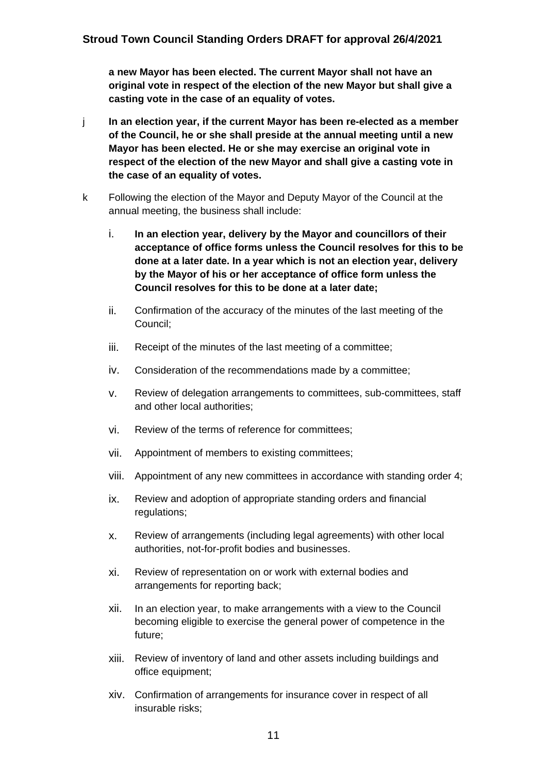**a new Mayor has been elected. The current Mayor shall not have an original vote in respect of the election of the new Mayor but shall give a casting vote in the case of an equality of votes.**

- j **In an election year, if the current Mayor has been re-elected as a member of the Council, he or she shall preside at the annual meeting until a new Mayor has been elected. He or she may exercise an original vote in respect of the election of the new Mayor and shall give a casting vote in the case of an equality of votes.**
- k Following the election of the Mayor and Deputy Mayor of the Council at the annual meeting, the business shall include:
	- i. **In an election year, delivery by the Mayor and councillors of their acceptance of office forms unless the Council resolves for this to be done at a later date. In a year which is not an election year, delivery by the Mayor of his or her acceptance of office form unless the Council resolves for this to be done at a later date;**
	- ii. Confirmation of the accuracy of the minutes of the last meeting of the Council;
	- iii. Receipt of the minutes of the last meeting of a committee;
	- iv. Consideration of the recommendations made by a committee;
	- v. Review of delegation arrangements to committees, sub-committees, staff and other local authorities;
	- vi. Review of the terms of reference for committees;
	- vii. Appointment of members to existing committees;
	- viii. Appointment of any new committees in accordance with standing order 4;
	- ix. Review and adoption of appropriate standing orders and financial regulations;
	- x. Review of arrangements (including legal agreements) with other local authorities, not-for-profit bodies and businesses.
	- xi. Review of representation on or work with external bodies and arrangements for reporting back;
	- xii. In an election year, to make arrangements with a view to the Council becoming eligible to exercise the general power of competence in the future;
	- xiii. Review of inventory of land and other assets including buildings and office equipment;
	- xiv. Confirmation of arrangements for insurance cover in respect of all insurable risks;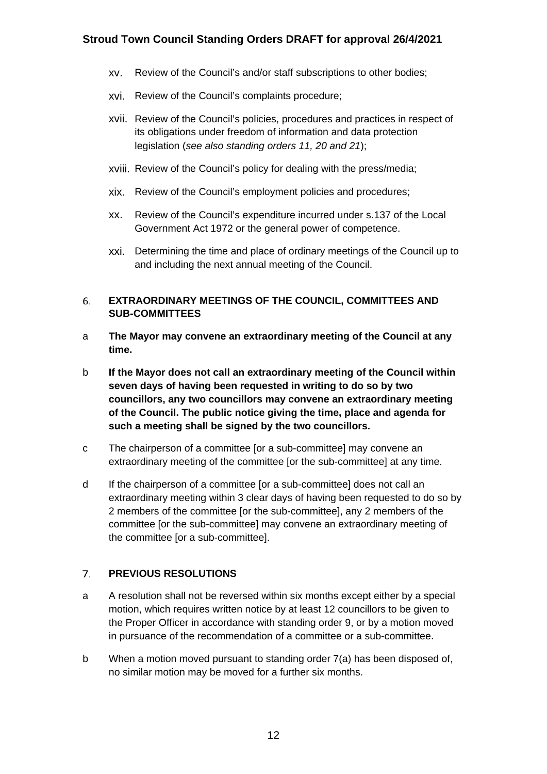- xv. Review of the Council's and/or staff subscriptions to other bodies;
- xvi. Review of the Council's complaints procedure;
- xvii. Review of the Council's policies, procedures and practices in respect of its obligations under freedom of information and data protection legislation (*see also standing orders 11, 20 and 21*);
- xviii. Review of the Council's policy for dealing with the press/media;
- xix. Review of the Council's employment policies and procedures;
- xx. Review of the Council's expenditure incurred under s.137 of the Local Government Act 1972 or the general power of competence.
- xxi. Determining the time and place of ordinary meetings of the Council up to and including the next annual meeting of the Council.

#### <span id="page-14-0"></span>**EXTRAORDINARY MEETINGS OF THE COUNCIL, COMMITTEES AND**  6. **SUB-COMMITTEES**

- a **The Mayor may convene an extraordinary meeting of the Council at any time.**
- b **If the Mayor does not call an extraordinary meeting of the Council within seven days of having been requested in writing to do so by two councillors, any two councillors may convene an extraordinary meeting of the Council. The public notice giving the time, place and agenda for such a meeting shall be signed by the two councillors.**
- c The chairperson of a committee [or a sub-committee] may convene an extraordinary meeting of the committee [or the sub-committee] at any time.
- d If the chairperson of a committee [or a sub-committee] does not call an extraordinary meeting within 3 clear days of having been requested to do so by 2 members of the committee [or the sub-committee], any 2 members of the committee [or the sub-committee] may convene an extraordinary meeting of the committee [or a sub-committee].

#### <span id="page-14-1"></span> $7.$ **PREVIOUS RESOLUTIONS**

- a A resolution shall not be reversed within six months except either by a special motion, which requires written notice by at least 12 councillors to be given to the Proper Officer in accordance with standing order 9, or by a motion moved in pursuance of the recommendation of a committee or a sub-committee.
- b When a motion moved pursuant to standing order 7(a) has been disposed of, no similar motion may be moved for a further six months.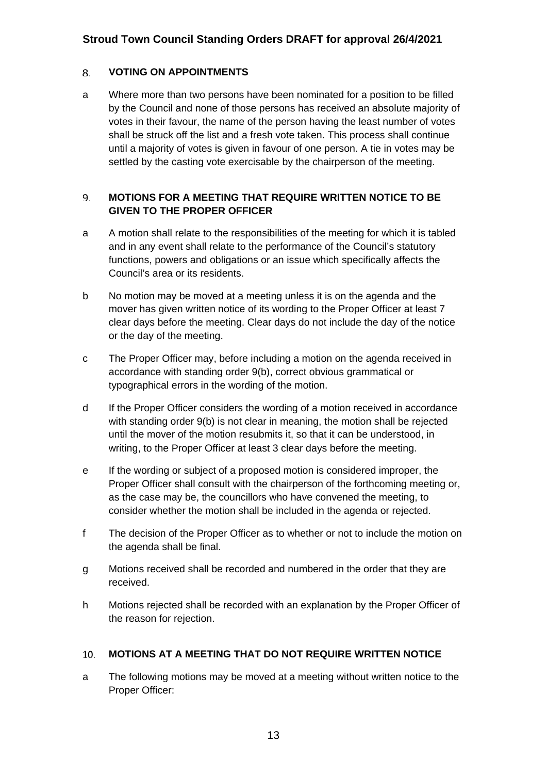#### <span id="page-15-0"></span>8. **VOTING ON APPOINTMENTS**

a Where more than two persons have been nominated for a position to be filled by the Council and none of those persons has received an absolute majority of votes in their favour, the name of the person having the least number of votes shall be struck off the list and a fresh vote taken. This process shall continue until a majority of votes is given in favour of one person. A tie in votes may be settled by the casting vote exercisable by the chairperson of the meeting.

#### <span id="page-15-1"></span>**MOTIONS FOR A MEETING THAT REQUIRE WRITTEN NOTICE TO BE**  9. **GIVEN TO THE PROPER OFFICER**

- a A motion shall relate to the responsibilities of the meeting for which it is tabled and in any event shall relate to the performance of the Council's statutory functions, powers and obligations or an issue which specifically affects the Council's area or its residents.
- b No motion may be moved at a meeting unless it is on the agenda and the mover has given written notice of its wording to the Proper Officer at least 7 clear days before the meeting. Clear days do not include the day of the notice or the day of the meeting.
- c The Proper Officer may, before including a motion on the agenda received in accordance with standing order 9(b), correct obvious grammatical or typographical errors in the wording of the motion.
- d If the Proper Officer considers the wording of a motion received in accordance with standing order 9(b) is not clear in meaning, the motion shall be rejected until the mover of the motion resubmits it, so that it can be understood, in writing, to the Proper Officer at least 3 clear days before the meeting.
- e If the wording or subject of a proposed motion is considered improper, the Proper Officer shall consult with the chairperson of the forthcoming meeting or, as the case may be, the councillors who have convened the meeting, to consider whether the motion shall be included in the agenda or rejected.
- f The decision of the Proper Officer as to whether or not to include the motion on the agenda shall be final.
- g Motions received shall be recorded and numbered in the order that they are received.
- h Motions rejected shall be recorded with an explanation by the Proper Officer of the reason for rejection.

#### <span id="page-15-2"></span>**MOTIONS AT A MEETING THAT DO NOT REQUIRE WRITTEN NOTICE**   $10.$

a The following motions may be moved at a meeting without written notice to the Proper Officer: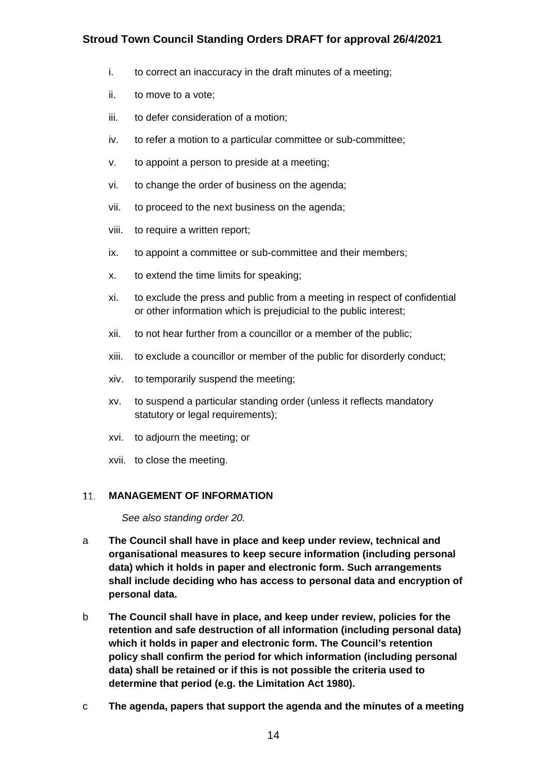- i. to correct an inaccuracy in the draft minutes of a meeting;
- ii. to move to a vote;
- iii. to defer consideration of a motion;
- iv. to refer a motion to a particular committee or sub-committee;
- v. to appoint a person to preside at a meeting;
- vi. to change the order of business on the agenda;
- vii. to proceed to the next business on the agenda;
- viii. to require a written report;
- ix. to appoint a committee or sub-committee and their members;
- x. to extend the time limits for speaking;
- xi. to exclude the press and public from a meeting in respect of confidential or other information which is prejudicial to the public interest;
- xii. to not hear further from a councillor or a member of the public;
- xiii. to exclude a councillor or member of the public for disorderly conduct;
- xiv. to temporarily suspend the meeting;
- xv. to suspend a particular standing order (unless it reflects mandatory statutory or legal requirements);
- xvi. to adjourn the meeting; or
- xvii. to close the meeting.

#### <span id="page-16-0"></span>**MANAGEMENT OF INFORMATION**   $11.$

*See also standing order 20.*

- a **The Council shall have in place and keep under review, technical and organisational measures to keep secure information (including personal data) which it holds in paper and electronic form. Such arrangements shall include deciding who has access to personal data and encryption of personal data.**
- b **The Council shall have in place, and keep under review, policies for the retention and safe destruction of all information (including personal data) which it holds in paper and electronic form. The Council's retention policy shall confirm the period for which information (including personal data) shall be retained or if this is not possible the criteria used to determine that period (e.g. the Limitation Act 1980).**
- c **The agenda, papers that support the agenda and the minutes of a meeting**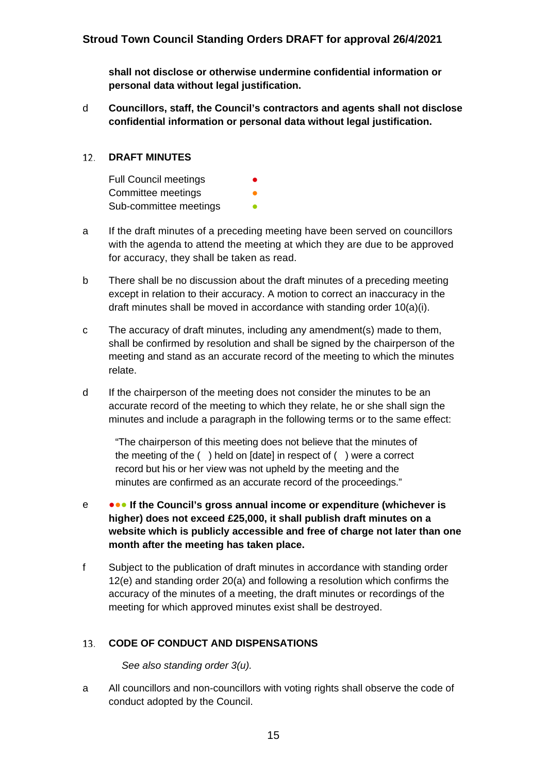**shall not disclose or otherwise undermine confidential information or personal data without legal justification.** 

d **Councillors, staff, the Council's contractors and agents shall not disclose confidential information or personal data without legal justification.**

#### <span id="page-17-0"></span> $12.$ **DRAFT MINUTES**

Full Council meetings Committee meetings Sub-committee meetings

- a If the draft minutes of a preceding meeting have been served on councillors with the agenda to attend the meeting at which they are due to be approved for accuracy, they shall be taken as read.
- b There shall be no discussion about the draft minutes of a preceding meeting except in relation to their accuracy. A motion to correct an inaccuracy in the draft minutes shall be moved in accordance with standing order 10(a)(i).
- c The accuracy of draft minutes, including any amendment(s) made to them, shall be confirmed by resolution and shall be signed by the chairperson of the meeting and stand as an accurate record of the meeting to which the minutes relate.
- d If the chairperson of the meeting does not consider the minutes to be an accurate record of the meeting to which they relate, he or she shall sign the minutes and include a paragraph in the following terms or to the same effect:

"The chairperson of this meeting does not believe that the minutes of the meeting of the ( ) held on [date] in respect of ( ) were a correct record but his or her view was not upheld by the meeting and the minutes are confirmed as an accurate record of the proceedings."

- e ●●● **If the Council's gross annual income or expenditure (whichever is higher) does not exceed £25,000, it shall publish draft minutes on a website which is publicly accessible and free of charge not later than one month after the meeting has taken place.**
- f Subject to the publication of draft minutes in accordance with standing order 12(e) and standing order 20(a) and following a resolution which confirms the accuracy of the minutes of a meeting, the draft minutes or recordings of the meeting for which approved minutes exist shall be destroyed.

#### <span id="page-17-1"></span>13. **CODE OF CONDUCT AND DISPENSATIONS**

*See also standing order 3(u).*

a All councillors and non-councillors with voting rights shall observe the code of conduct adopted by the Council.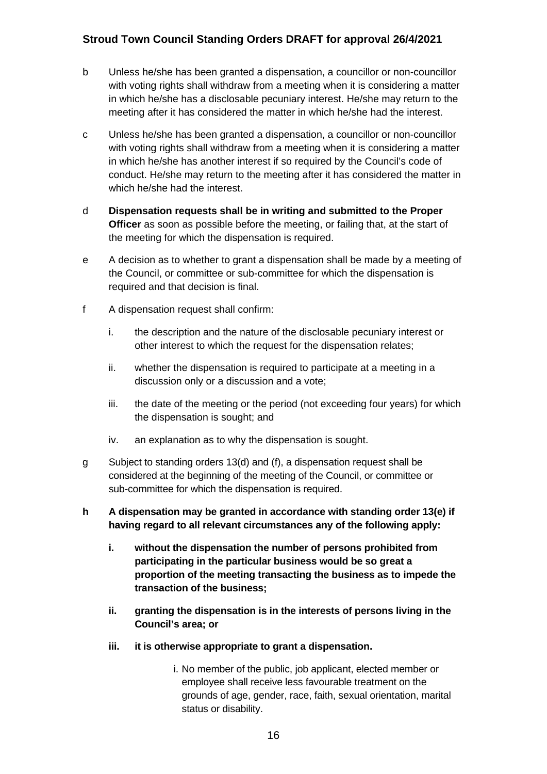- b Unless he/she has been granted a dispensation, a councillor or non-councillor with voting rights shall withdraw from a meeting when it is considering a matter in which he/she has a disclosable pecuniary interest. He/she may return to the meeting after it has considered the matter in which he/she had the interest.
- c Unless he/she has been granted a dispensation, a councillor or non-councillor with voting rights shall withdraw from a meeting when it is considering a matter in which he/she has another interest if so required by the Council's code of conduct. He/she may return to the meeting after it has considered the matter in which he/she had the interest.
- d **Dispensation requests shall be in writing and submitted to the Proper Officer** as soon as possible before the meeting, or failing that, at the start of the meeting for which the dispensation is required.
- e A decision as to whether to grant a dispensation shall be made by a meeting of the Council, or committee or sub-committee for which the dispensation is required and that decision is final.
- f A dispensation request shall confirm:
	- i. the description and the nature of the disclosable pecuniary interest or other interest to which the request for the dispensation relates;
	- ii. whether the dispensation is required to participate at a meeting in a discussion only or a discussion and a vote;
	- iii. the date of the meeting or the period (not exceeding four years) for which the dispensation is sought; and
	- iv. an explanation as to why the dispensation is sought.
- g Subject to standing orders 13(d) and (f), a dispensation request shall be considered at the beginning of the meeting of the Council, or committee or sub-committee for which the dispensation is required.
- **h A dispensation may be granted in accordance with standing order 13(e) if having regard to all relevant circumstances any of the following apply:**
	- **i. without the dispensation the number of persons prohibited from participating in the particular business would be so great a proportion of the meeting transacting the business as to impede the transaction of the business;**
	- **ii. granting the dispensation is in the interests of persons living in the Council's area; or**
	- **iii. it is otherwise appropriate to grant a dispensation.**
		- i. No member of the public, job applicant, elected member or employee shall receive less favourable treatment on the grounds of age, gender, race, faith, sexual orientation, marital status or disability.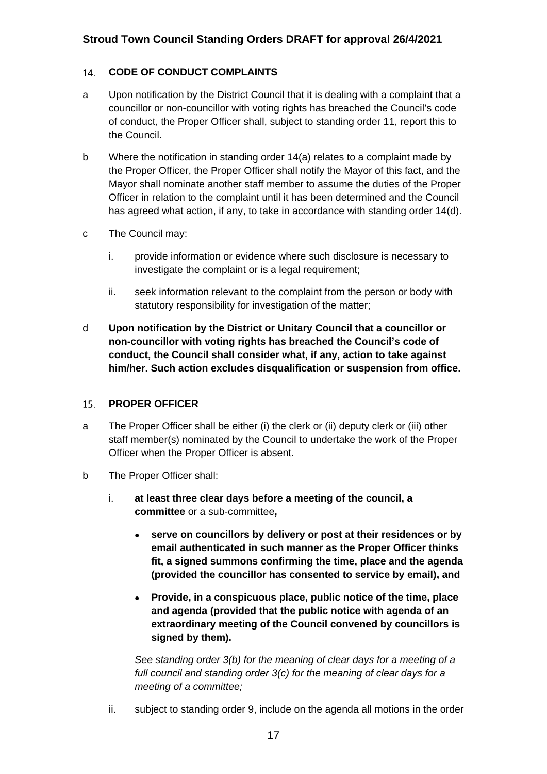#### <span id="page-19-0"></span>14. **CODE OF CONDUCT COMPLAINTS**

- a Upon notification by the District Council that it is dealing with a complaint that a councillor or non-councillor with voting rights has breached the Council's code of conduct, the Proper Officer shall, subject to standing order 11, report this to the Council.
- b Where the notification in standing order 14(a) relates to a complaint made by the Proper Officer, the Proper Officer shall notify the Mayor of this fact, and the Mayor shall nominate another staff member to assume the duties of the Proper Officer in relation to the complaint until it has been determined and the Council has agreed what action, if any, to take in accordance with standing order 14(d).
- c The Council may:
	- i. provide information or evidence where such disclosure is necessary to investigate the complaint or is a legal requirement;
	- ii. seek information relevant to the complaint from the person or body with statutory responsibility for investigation of the matter;
- d **Upon notification by the District or Unitary Council that a councillor or non-councillor with voting rights has breached the Council's code of conduct, the Council shall consider what, if any, action to take against him/her. Such action excludes disqualification or suspension from office.**

#### <span id="page-19-1"></span>15. **PROPER OFFICER**

- a The Proper Officer shall be either (i) the clerk or (ii) deputy clerk or (iii) other staff member(s) nominated by the Council to undertake the work of the Proper Officer when the Proper Officer is absent.
- b The Proper Officer shall:
	- i. **at least three clear days before a meeting of the council, a committee** or a sub-committee**,**
		- **serve on councillors by delivery or post at their residences or by email authenticated in such manner as the Proper Officer thinks fit, a signed summons confirming the time, place and the agenda (provided the councillor has consented to service by email), and**
		- **Provide, in a conspicuous place, public notice of the time, place and agenda (provided that the public notice with agenda of an extraordinary meeting of the Council convened by councillors is signed by them).**

*See standing order 3(b) for the meaning of clear days for a meeting of a full council and standing order 3(c) for the meaning of clear days for a meeting of a committee;*

ii. subject to standing order 9, include on the agenda all motions in the order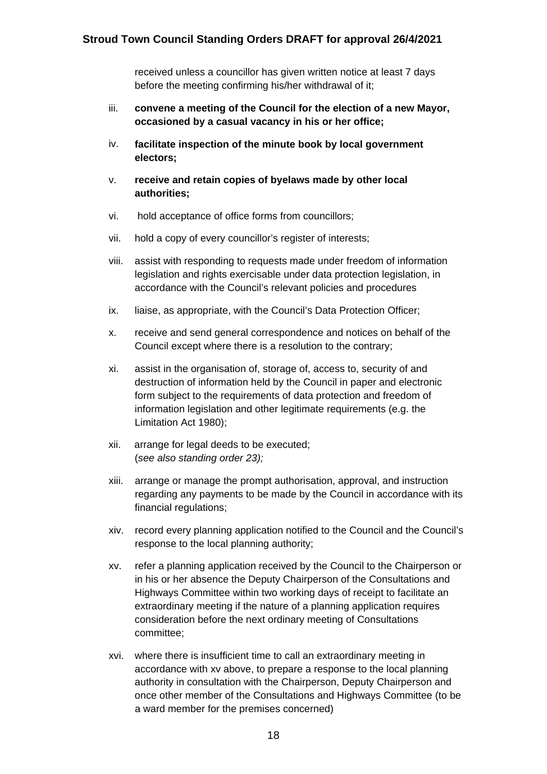received unless a councillor has given written notice at least 7 days before the meeting confirming his/her withdrawal of it;

- iii. **convene a meeting of the Council for the election of a new Mayor, occasioned by a casual vacancy in his or her office;**
- iv. **facilitate inspection of the minute book by local government electors;**
- v. **receive and retain copies of byelaws made by other local authorities;**
- vi. hold acceptance of office forms from councillors;
- vii. hold a copy of every councillor's register of interests;
- viii. assist with responding to requests made under freedom of information legislation and rights exercisable under data protection legislation, in accordance with the Council's relevant policies and procedures
- ix. liaise, as appropriate, with the Council's Data Protection Officer;
- x. receive and send general correspondence and notices on behalf of the Council except where there is a resolution to the contrary;
- xi. assist in the organisation of, storage of, access to, security of and destruction of information held by the Council in paper and electronic form subject to the requirements of data protection and freedom of information legislation and other legitimate requirements (e.g. the Limitation Act 1980);
- xii. arrange for legal deeds to be executed; (*see also standing order 23);*
- xiii. arrange or manage the prompt authorisation, approval, and instruction regarding any payments to be made by the Council in accordance with its financial regulations;
- xiv. record every planning application notified to the Council and the Council's response to the local planning authority;
- xv. refer a planning application received by the Council to the Chairperson or in his or her absence the Deputy Chairperson of the Consultations and Highways Committee within two working days of receipt to facilitate an extraordinary meeting if the nature of a planning application requires consideration before the next ordinary meeting of Consultations committee;
- xvi. where there is insufficient time to call an extraordinary meeting in accordance with xv above, to prepare a response to the local planning authority in consultation with the Chairperson, Deputy Chairperson and once other member of the Consultations and Highways Committee (to be a ward member for the premises concerned)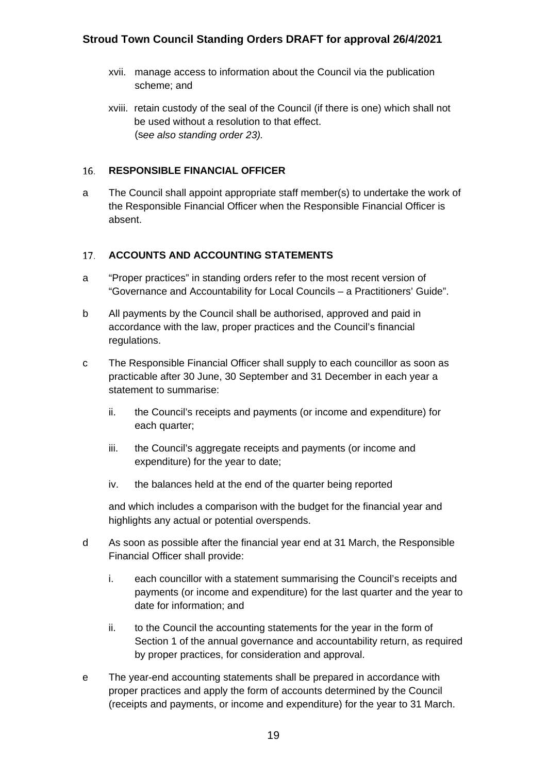- xvii. manage access to information about the Council via the publication scheme; and
- xviii. retain custody of the seal of the Council (if there is one) which shall not be used without a resolution to that effect. (s*ee also standing order 23).*

#### <span id="page-21-0"></span> $16.$ **RESPONSIBLE FINANCIAL OFFICER**

a The Council shall appoint appropriate staff member(s) to undertake the work of the Responsible Financial Officer when the Responsible Financial Officer is absent.

#### <span id="page-21-1"></span>17. **ACCOUNTS AND ACCOUNTING STATEMENTS**

- a "Proper practices" in standing orders refer to the most recent version of "Governance and Accountability for Local Councils – a Practitioners' Guide".
- b All payments by the Council shall be authorised, approved and paid in accordance with the law, proper practices and the Council's financial regulations.
- c The Responsible Financial Officer shall supply to each councillor as soon as practicable after 30 June, 30 September and 31 December in each year a statement to summarise:
	- ii. the Council's receipts and payments (or income and expenditure) for each quarter;
	- iii. the Council's aggregate receipts and payments (or income and expenditure) for the year to date;
	- iv. the balances held at the end of the quarter being reported

and which includes a comparison with the budget for the financial year and highlights any actual or potential overspends.

- d As soon as possible after the financial year end at 31 March, the Responsible Financial Officer shall provide:
	- i. each councillor with a statement summarising the Council's receipts and payments (or income and expenditure) for the last quarter and the year to date for information; and
	- ii. to the Council the accounting statements for the year in the form of Section 1 of the annual governance and accountability return, as required by proper practices, for consideration and approval.
- e The year-end accounting statements shall be prepared in accordance with proper practices and apply the form of accounts determined by the Council (receipts and payments, or income and expenditure) for the year to 31 March.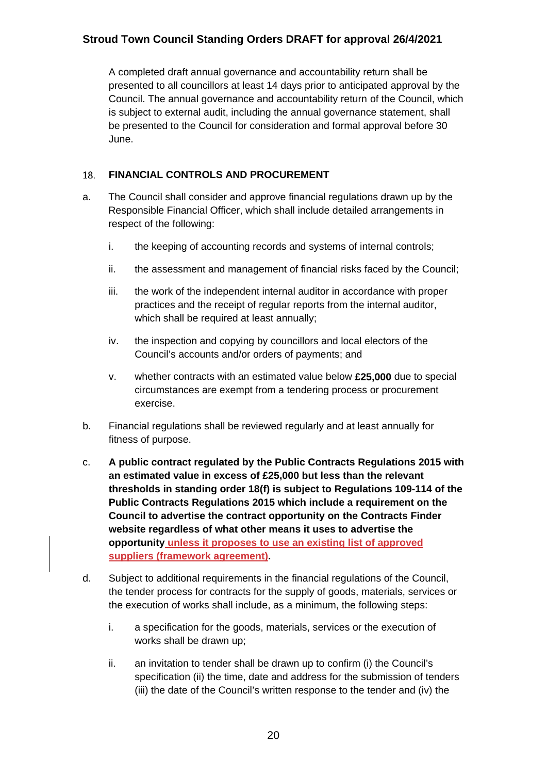A completed draft annual governance and accountability return shall be presented to all councillors at least 14 days prior to anticipated approval by the Council. The annual governance and accountability return of the Council, which is subject to external audit, including the annual governance statement, shall be presented to the Council for consideration and formal approval before 30 June.

#### <span id="page-22-0"></span>**FINANCIAL CONTROLS AND PROCUREMENT** 18.

- a. The Council shall consider and approve financial regulations drawn up by the Responsible Financial Officer, which shall include detailed arrangements in respect of the following:
	- i. the keeping of accounting records and systems of internal controls;
	- ii. the assessment and management of financial risks faced by the Council;
	- iii. the work of the independent internal auditor in accordance with proper practices and the receipt of regular reports from the internal auditor, which shall be required at least annually;
	- iv. the inspection and copying by councillors and local electors of the Council's accounts and/or orders of payments; and
	- v. whether contracts with an estimated value below **£25,000** due to special circumstances are exempt from a tendering process or procurement exercise.
- b. Financial regulations shall be reviewed regularly and at least annually for fitness of purpose.
- c. **A public contract regulated by the Public Contracts Regulations 2015 with an estimated value in excess of £25,000 but less than the relevant thresholds in standing order 18(f) is subject to Regulations 109-114 of the Public Contracts Regulations 2015 which include a requirement on the Council to advertise the contract opportunity on the Contracts Finder website regardless of what other means it uses to advertise the opportunity unless it proposes to use an existing list of approved suppliers (framework agreement).**
- d. Subject to additional requirements in the financial regulations of the Council, the tender process for contracts for the supply of goods, materials, services or the execution of works shall include, as a minimum, the following steps:
	- i. a specification for the goods, materials, services or the execution of works shall be drawn up;
	- ii. an invitation to tender shall be drawn up to confirm (i) the Council's specification (ii) the time, date and address for the submission of tenders (iii) the date of the Council's written response to the tender and (iv) the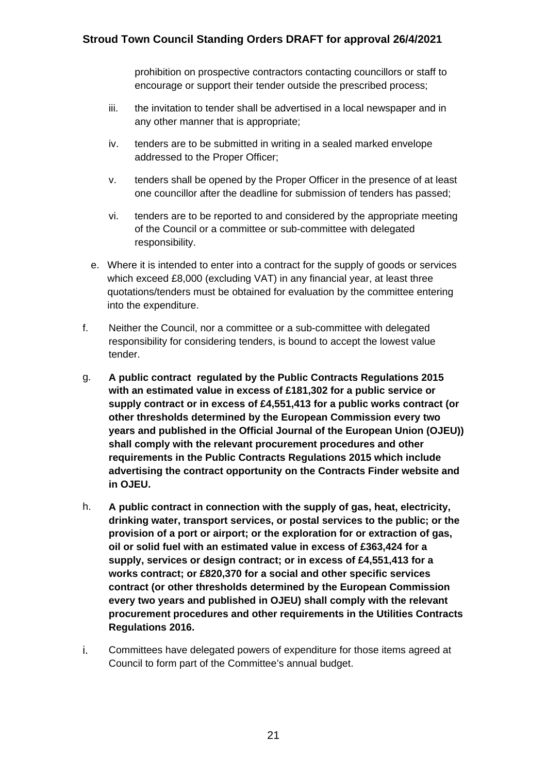prohibition on prospective contractors contacting councillors or staff to encourage or support their tender outside the prescribed process;

- iii. the invitation to tender shall be advertised in a local newspaper and in any other manner that is appropriate;
- iv. tenders are to be submitted in writing in a sealed marked envelope addressed to the Proper Officer;
- v. tenders shall be opened by the Proper Officer in the presence of at least one councillor after the deadline for submission of tenders has passed;
- vi. tenders are to be reported to and considered by the appropriate meeting of the Council or a committee or sub-committee with delegated responsibility.
- e. Where it is intended to enter into a contract for the supply of goods or services which exceed £8,000 (excluding VAT) in any financial year, at least three quotations/tenders must be obtained for evaluation by the committee entering into the expenditure.
- f. Neither the Council, nor a committee or a sub-committee with delegated responsibility for considering tenders, is bound to accept the lowest value tender.
- g. **A public contract regulated by the Public Contracts Regulations 2015 with an estimated value in excess of £181,302 for a public service or supply contract or in excess of £4,551,413 for a public works contract (or other thresholds determined by the European Commission every two years and published in the Official Journal of the European Union (OJEU)) shall comply with the relevant procurement procedures and other requirements in the Public Contracts Regulations 2015 which include advertising the contract opportunity on the Contracts Finder website and in OJEU.**
- h. **A public contract in connection with the supply of gas, heat, electricity, drinking water, transport services, or postal services to the public; or the provision of a port or airport; or the exploration for or extraction of gas, oil or solid fuel with an estimated value in excess of £363,424 for a supply, services or design contract; or in excess of £4,551,413 for a works contract; or £820,370 for a social and other specific services contract (or other thresholds determined by the European Commission every two years and published in OJEU) shall comply with the relevant procurement procedures and other requirements in the Utilities Contracts Regulations 2016.**
- i. Committees have delegated powers of expenditure for those items agreed at Council to form part of the Committee's annual budget.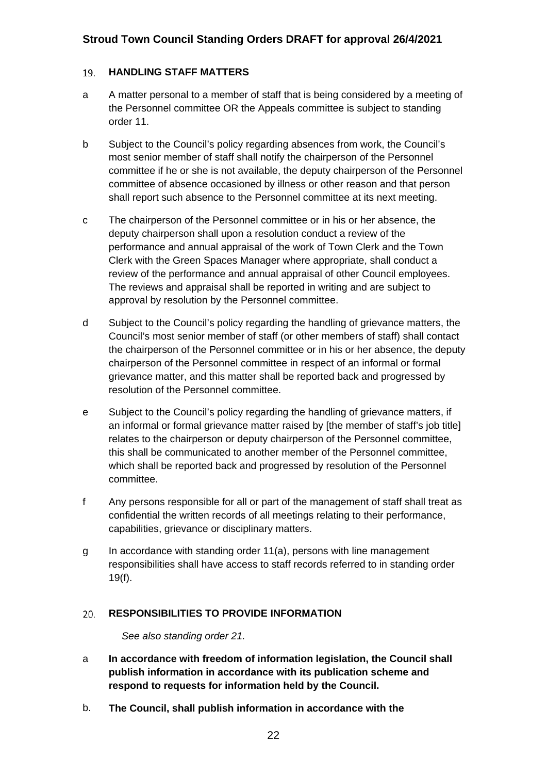#### <span id="page-24-0"></span>**HANDLING STAFF MATTERS** 19.

- a A matter personal to a member of staff that is being considered by a meeting of the Personnel committee OR the Appeals committee is subject to standing order 11.
- b Subject to the Council's policy regarding absences from work, the Council's most senior member of staff shall notify the chairperson of the Personnel committee if he or she is not available, the deputy chairperson of the Personnel committee of absence occasioned by illness or other reason and that person shall report such absence to the Personnel committee at its next meeting.
- c The chairperson of the Personnel committee or in his or her absence, the deputy chairperson shall upon a resolution conduct a review of the performance and annual appraisal of the work of Town Clerk and the Town Clerk with the Green Spaces Manager where appropriate, shall conduct a review of the performance and annual appraisal of other Council employees. The reviews and appraisal shall be reported in writing and are subject to approval by resolution by the Personnel committee.
- d Subject to the Council's policy regarding the handling of grievance matters, the Council's most senior member of staff (or other members of staff) shall contact the chairperson of the Personnel committee or in his or her absence, the deputy chairperson of the Personnel committee in respect of an informal or formal grievance matter, and this matter shall be reported back and progressed by resolution of the Personnel committee.
- e Subject to the Council's policy regarding the handling of grievance matters, if an informal or formal grievance matter raised by [the member of staff's job title] relates to the chairperson or deputy chairperson of the Personnel committee, this shall be communicated to another member of the Personnel committee, which shall be reported back and progressed by resolution of the Personnel committee.
- f Any persons responsible for all or part of the management of staff shall treat as confidential the written records of all meetings relating to their performance, capabilities, grievance or disciplinary matters.
- g In accordance with standing order 11(a), persons with line management responsibilities shall have access to staff records referred to in standing order 19(f).

#### <span id="page-24-1"></span>**RESPONSIBILITIES TO PROVIDE INFORMATION**   $20.$

*See also standing order 21.*

- a **In accordance with freedom of information legislation, the Council shall publish information in accordance with its publication scheme and respond to requests for information held by the Council.**
- b. **The Council, shall publish information in accordance with the**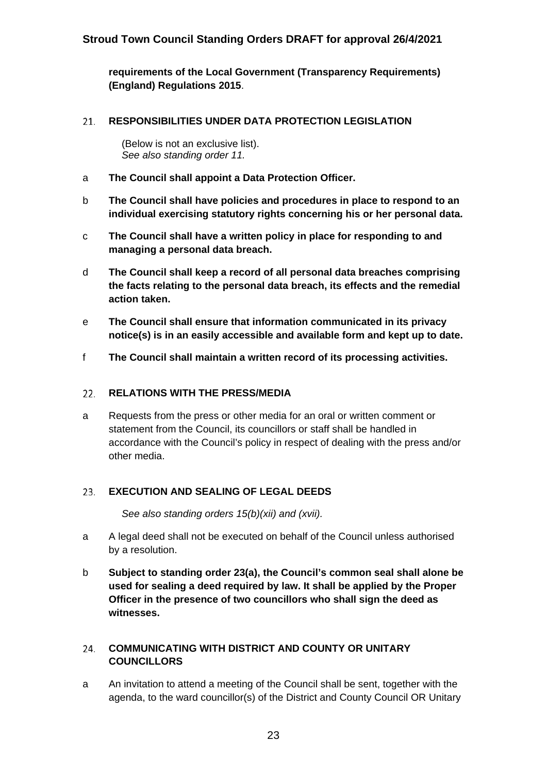**requirements of the Local Government (Transparency Requirements) (England) Regulations 2015**.

#### <span id="page-25-0"></span>21. **RESPONSIBILITIES UNDER DATA PROTECTION LEGISLATION**

(Below is not an exclusive list). *See also standing order 11.*

- a **The Council shall appoint a Data Protection Officer.**
- b **The Council shall have policies and procedures in place to respond to an individual exercising statutory rights concerning his or her personal data.**
- c **The Council shall have a written policy in place for responding to and managing a personal data breach.**
- d **The Council shall keep a record of all personal data breaches comprising the facts relating to the personal data breach, its effects and the remedial action taken.**
- e **The Council shall ensure that information communicated in its privacy notice(s) is in an easily accessible and available form and kept up to date.**
- f **The Council shall maintain a written record of its processing activities.**

#### <span id="page-25-1"></span>**RELATIONS WITH THE PRESS/MEDIA**  $22.$

a Requests from the press or other media for an oral or written comment or statement from the Council, its councillors or staff shall be handled in accordance with the Council's policy in respect of dealing with the press and/or other media.

#### <span id="page-25-2"></span>**EXECUTION AND SEALING OF LEGAL DEEDS**   $23.$

*See also standing orders 15(b)(xii) and (xvii).*

- a A legal deed shall not be executed on behalf of the Council unless authorised by a resolution.
- b **Subject to standing order 23(a), the Council's common seal shall alone be used for sealing a deed required by law. It shall be applied by the Proper Officer in the presence of two councillors who shall sign the deed as witnesses.**

#### <span id="page-25-3"></span>**COMMUNICATING WITH DISTRICT AND COUNTY OR UNITARY**  24. **COUNCILLORS**

a An invitation to attend a meeting of the Council shall be sent, together with the agenda, to the ward councillor(s) of the District and County Council OR Unitary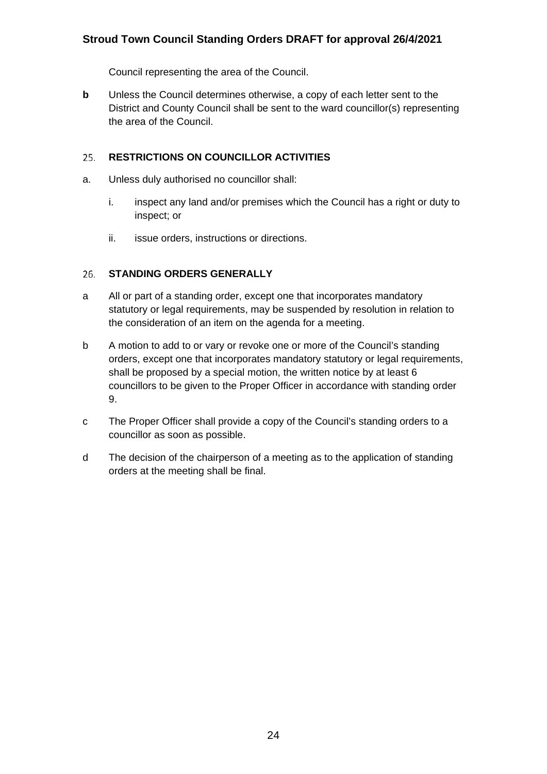Council representing the area of the Council.

**b** Unless the Council determines otherwise, a copy of each letter sent to the District and County Council shall be sent to the ward councillor(s) representing the area of the Council.

#### <span id="page-26-0"></span>**RESTRICTIONS ON COUNCILLOR ACTIVITIES** 25.

- a. Unless duly authorised no councillor shall:
	- i. inspect any land and/or premises which the Council has a right or duty to inspect; or
	- ii. issue orders, instructions or directions.

#### <span id="page-26-1"></span>26. **STANDING ORDERS GENERALLY**

- a All or part of a standing order, except one that incorporates mandatory statutory or legal requirements, may be suspended by resolution in relation to the consideration of an item on the agenda for a meeting.
- b A motion to add to or vary or revoke one or more of the Council's standing orders, except one that incorporates mandatory statutory or legal requirements, shall be proposed by a special motion, the written notice by at least 6 councillors to be given to the Proper Officer in accordance with standing order 9.
- c The Proper Officer shall provide a copy of the Council's standing orders to a councillor as soon as possible.
- d The decision of the chairperson of a meeting as to the application of standing orders at the meeting shall be final.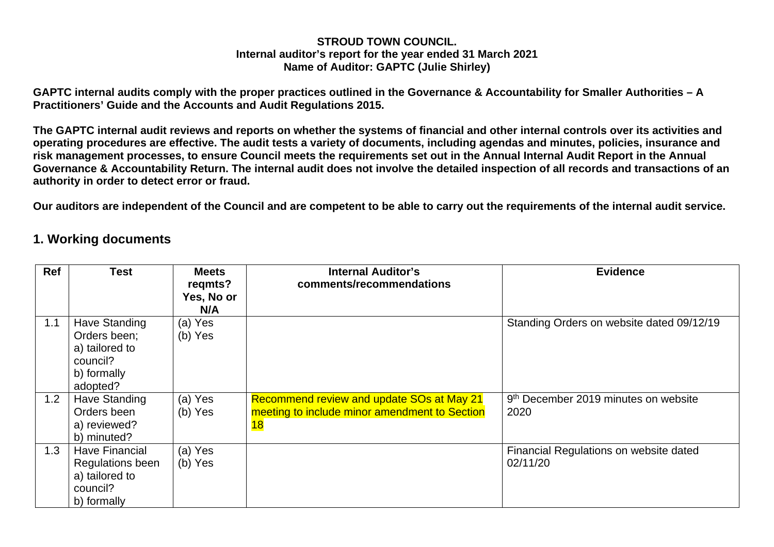#### **STROUD TOWN COUNCIL. Internal auditor's report for the year ended 31 March 2021 Name of Auditor: GAPTC (Julie Shirley)**

**GAPTC internal audits comply with the proper practices outlined in the Governance & Accountability for Smaller Authorities – A Practitioners' Guide and the Accounts and Audit Regulations 2015.**

**The GAPTC internal audit reviews and reports on whether the systems of financial and other internal controls over its activities and operating procedures are effective. The audit tests a variety of documents, including agendas and minutes, policies, insurance and risk management processes, to ensure Council meets the requirements set out in the Annual Internal Audit Report in the Annual Governance & Accountability Return. The internal audit does not involve the detailed inspection of all records and transactions of an authority in order to detect error or fraud.**

**Our auditors are independent of the Council and are competent to be able to carry out the requirements of the internal audit service.**

### **1. Working documents**

| <b>Ref</b> | Test                                                                                   | <b>Meets</b><br>regmts?<br>Yes, No or<br>N/A | <b>Internal Auditor's</b><br>comments/recommendations                                                   | <b>Evidence</b>                                          |
|------------|----------------------------------------------------------------------------------------|----------------------------------------------|---------------------------------------------------------------------------------------------------------|----------------------------------------------------------|
| 1.1        | Have Standing<br>Orders been;<br>a) tailored to<br>council?<br>b) formally<br>adopted? | (a) Yes<br>(b) Yes                           |                                                                                                         | Standing Orders on website dated 09/12/19                |
| 1.2        | <b>Have Standing</b><br>Orders been<br>a) reviewed?<br>b) minuted?                     | (a) Yes<br>(b) Yes                           | Recommend review and update SOs at May 21<br>meeting to include minor amendment to Section<br><b>18</b> | 9 <sup>th</sup> December 2019 minutes on website<br>2020 |
| 1.3        | <b>Have Financial</b><br>Regulations been<br>a) tailored to<br>council?<br>b) formally | (a) Yes<br>(b) Yes                           |                                                                                                         | Financial Regulations on website dated<br>02/11/20       |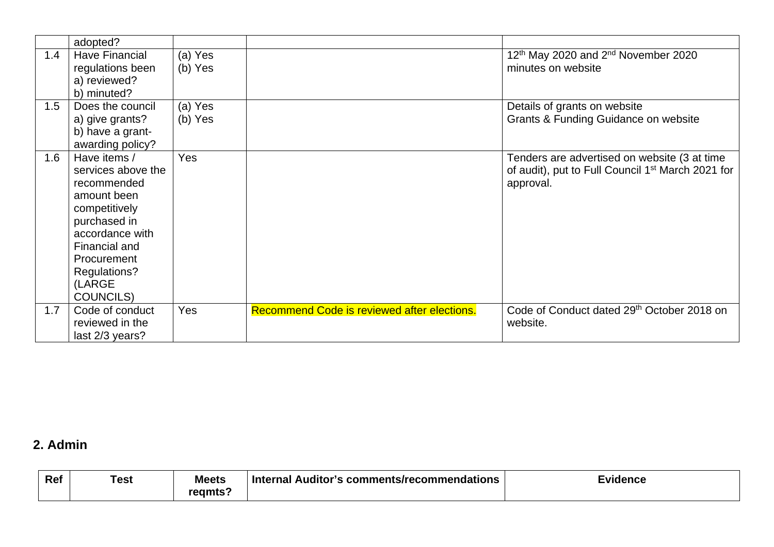|     | adopted?                                  |                    |                                             |                                                                                   |
|-----|-------------------------------------------|--------------------|---------------------------------------------|-----------------------------------------------------------------------------------|
| 1.4 | <b>Have Financial</b><br>regulations been | (a) Yes<br>(b) Yes |                                             | 12 <sup>th</sup> May 2020 and 2 <sup>nd</sup> November 2020<br>minutes on website |
|     | a) reviewed?                              |                    |                                             |                                                                                   |
|     | b) minuted?                               |                    |                                             |                                                                                   |
| 1.5 | Does the council                          | (a) Yes            |                                             | Details of grants on website                                                      |
|     | a) give grants?                           | (b) Yes            |                                             | Grants & Funding Guidance on website                                              |
|     | b) have a grant-                          |                    |                                             |                                                                                   |
|     | awarding policy?                          |                    |                                             |                                                                                   |
| 1.6 | Have items /                              | <b>Yes</b>         |                                             | Tenders are advertised on website (3 at time                                      |
|     | services above the                        |                    |                                             | of audit), put to Full Council 1 <sup>st</sup> March 2021 for                     |
|     | recommended                               |                    |                                             | approval.                                                                         |
|     | amount been                               |                    |                                             |                                                                                   |
|     | competitively                             |                    |                                             |                                                                                   |
|     | purchased in                              |                    |                                             |                                                                                   |
|     | accordance with                           |                    |                                             |                                                                                   |
|     | Financial and                             |                    |                                             |                                                                                   |
|     | Procurement                               |                    |                                             |                                                                                   |
|     | Regulations?                              |                    |                                             |                                                                                   |
|     | (LARGE                                    |                    |                                             |                                                                                   |
|     | <b>COUNCILS)</b>                          |                    |                                             |                                                                                   |
| 1.7 | Code of conduct                           | <b>Yes</b>         | Recommend Code is reviewed after elections. | Code of Conduct dated 29 <sup>th</sup> October 2018 on                            |
|     | reviewed in the                           |                    |                                             | website.                                                                          |
|     | last 2/3 years?                           |                    |                                             |                                                                                   |

## **2. Admin**

| Ref | Test | <b>Meets</b><br>reamts | l Auditor's comments/recommendations_<br>. Internal | Evidence |
|-----|------|------------------------|-----------------------------------------------------|----------|
|     |      |                        |                                                     |          |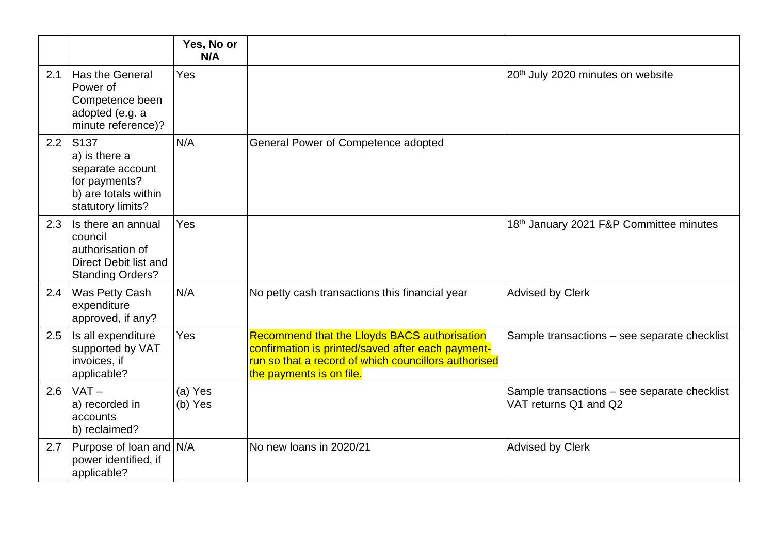|     |                                                                                                                     | Yes, No or<br>N/A  |                                                                                                                                                                                       |                                                                       |
|-----|---------------------------------------------------------------------------------------------------------------------|--------------------|---------------------------------------------------------------------------------------------------------------------------------------------------------------------------------------|-----------------------------------------------------------------------|
| 2.1 | Has the General<br>Power of<br>Competence been<br>adopted (e.g. a<br>minute reference)?                             | Yes                |                                                                                                                                                                                       | 20 <sup>th</sup> July 2020 minutes on website                         |
| 2.2 | S <sub>137</sub><br>a) is there a<br>separate account<br>for payments?<br>b) are totals within<br>statutory limits? | N/A                | General Power of Competence adopted                                                                                                                                                   |                                                                       |
| 2.3 | Is there an annual<br>council<br>authorisation of<br>Direct Debit list and<br><b>Standing Orders?</b>               | Yes                |                                                                                                                                                                                       | 18th January 2021 F&P Committee minutes                               |
| 2.4 | Was Petty Cash<br>expenditure<br>approved, if any?                                                                  | N/A                | No petty cash transactions this financial year                                                                                                                                        | <b>Advised by Clerk</b>                                               |
| 2.5 | Is all expenditure<br>supported by VAT<br>invoices, if<br>applicable?                                               | Yes                | Recommend that the Lloyds BACS authorisation<br>confirmation is printed/saved after each payment-<br>run so that a record of which councillors authorised<br>the payments is on file. | Sample transactions - see separate checklist                          |
| 2.6 | $VAT -$<br>a) recorded in<br>accounts<br>b) reclaimed?                                                              | (a) Yes<br>(b) Yes |                                                                                                                                                                                       | Sample transactions - see separate checklist<br>VAT returns Q1 and Q2 |
| 2.7 | Purpose of loan and N/A<br>power identified, if<br>applicable?                                                      |                    | No new loans in 2020/21                                                                                                                                                               | <b>Advised by Clerk</b>                                               |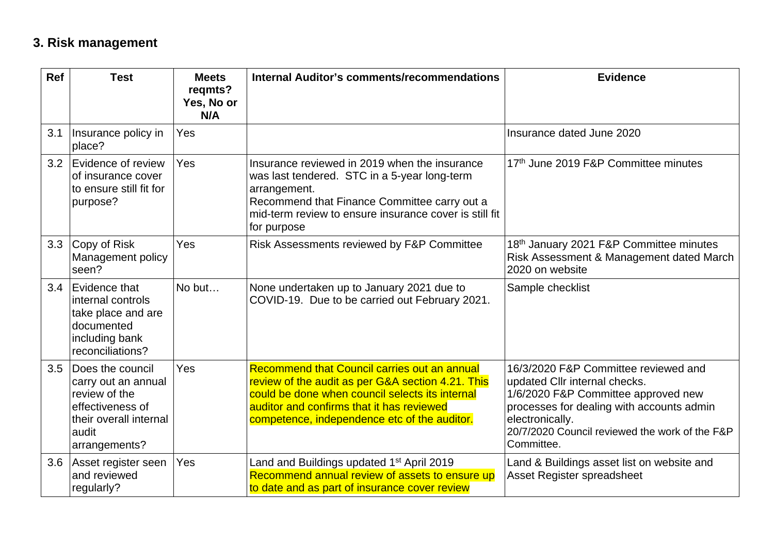## **3. Risk management**

| Ref | <b>Test</b>                                                                                                                      | <b>Meets</b><br>regmts?<br>Yes, No or<br>N/A | Internal Auditor's comments/recommendations                                                                                                                                                                                                       | <b>Evidence</b>                                                                                                                                                                                                                              |
|-----|----------------------------------------------------------------------------------------------------------------------------------|----------------------------------------------|---------------------------------------------------------------------------------------------------------------------------------------------------------------------------------------------------------------------------------------------------|----------------------------------------------------------------------------------------------------------------------------------------------------------------------------------------------------------------------------------------------|
| 3.1 | Insurance policy in<br>place?                                                                                                    | <b>Yes</b>                                   |                                                                                                                                                                                                                                                   | Insurance dated June 2020                                                                                                                                                                                                                    |
| 3.2 | Evidence of review<br>of insurance cover<br>to ensure still fit for<br>purpose?                                                  | Yes                                          | Insurance reviewed in 2019 when the insurance<br>was last tendered. STC in a 5-year long-term<br>arrangement.<br>Recommend that Finance Committee carry out a<br>mid-term review to ensure insurance cover is still fit<br>for purpose            | 17th June 2019 F&P Committee minutes                                                                                                                                                                                                         |
| 3.3 | Copy of Risk<br>Management policy<br>seen?                                                                                       | Yes                                          | Risk Assessments reviewed by F&P Committee                                                                                                                                                                                                        | 18th January 2021 F&P Committee minutes<br>Risk Assessment & Management dated March<br>2020 on website                                                                                                                                       |
| 3.4 | Evidence that<br>internal controls<br>take place and are<br>documented<br>including bank<br>reconciliations?                     | No but                                       | None undertaken up to January 2021 due to<br>COVID-19. Due to be carried out February 2021.                                                                                                                                                       | Sample checklist                                                                                                                                                                                                                             |
| 3.5 | Does the council<br>carry out an annual<br>review of the<br>effectiveness of<br>their overall internal<br>audit<br>arrangements? | Yes                                          | Recommend that Council carries out an annual<br>review of the audit as per G&A section 4.21. This<br>could be done when council selects its internal<br>auditor and confirms that it has reviewed<br>competence, independence etc of the auditor. | 16/3/2020 F&P Committee reviewed and<br>updated Cllr internal checks.<br>1/6/2020 F&P Committee approved new<br>processes for dealing with accounts admin<br>electronically.<br>20/7/2020 Council reviewed the work of the F&P<br>Committee. |
| 3.6 | Asset register seen<br>and reviewed<br>regularly?                                                                                | Yes                                          | Land and Buildings updated 1 <sup>st</sup> April 2019<br>Recommend annual review of assets to ensure up<br>to date and as part of insurance cover review                                                                                          | Land & Buildings asset list on website and<br>Asset Register spreadsheet                                                                                                                                                                     |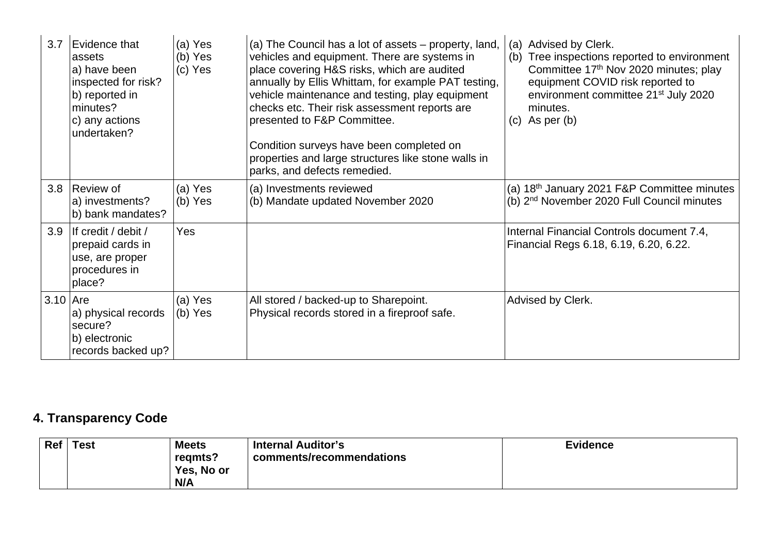| 3.7        | Evidence that<br>assets<br>a) have been<br>inspected for risk?<br>b) reported in<br>minutes?<br>c) any actions<br>undertaken? | (a) Yes<br>(b) Yes<br>(c) Yes | (a) The Council has a lot of assets – property, land,<br>vehicles and equipment. There are systems in<br>place covering H&S risks, which are audited<br>annually by Ellis Whittam, for example PAT testing,<br>vehicle maintenance and testing, play equipment<br>checks etc. Their risk assessment reports are<br>presented to F&P Committee.<br>Condition surveys have been completed on<br>properties and large structures like stone walls in<br>parks, and defects remedied. | Advised by Clerk.<br>(a)<br>Tree inspections reported to environment<br>(b)<br>Committee 17th Nov 2020 minutes; play<br>equipment COVID risk reported to<br>environment committee 21 <sup>st</sup> July 2020<br>minutes.<br>$(c)$ As per $(b)$ |
|------------|-------------------------------------------------------------------------------------------------------------------------------|-------------------------------|-----------------------------------------------------------------------------------------------------------------------------------------------------------------------------------------------------------------------------------------------------------------------------------------------------------------------------------------------------------------------------------------------------------------------------------------------------------------------------------|------------------------------------------------------------------------------------------------------------------------------------------------------------------------------------------------------------------------------------------------|
| 3.8        | Review of<br>a) investments?<br>b) bank mandates?                                                                             | (a) Yes<br>$(b)$ Yes          | (a) Investments reviewed<br>(b) Mandate updated November 2020                                                                                                                                                                                                                                                                                                                                                                                                                     | (a) 18 <sup>th</sup> January 2021 F&P Committee minutes<br>(b) 2 <sup>nd</sup> November 2020 Full Council minutes                                                                                                                              |
| 3.9        | If credit / debit /<br>prepaid cards in<br>use, are proper<br>procedures in<br>place?                                         | Yes                           |                                                                                                                                                                                                                                                                                                                                                                                                                                                                                   | Internal Financial Controls document 7.4,<br>Financial Regs 6.18, 6.19, 6.20, 6.22.                                                                                                                                                            |
| $3.10$ Are | a) physical records<br>secure?<br>b) electronic<br>records backed up?                                                         | (a) Yes<br>(b) Yes            | All stored / backed-up to Sharepoint.<br>Physical records stored in a fireproof safe.                                                                                                                                                                                                                                                                                                                                                                                             | Advised by Clerk.                                                                                                                                                                                                                              |

## **4. Transparency Code**

| Ref   Test | <b>Meets</b><br>regmts?<br>Yes, No or | <b>Internal Auditor's</b><br>comments/recommendations | <b>Evidence</b> |
|------------|---------------------------------------|-------------------------------------------------------|-----------------|
|            | N/A                                   |                                                       |                 |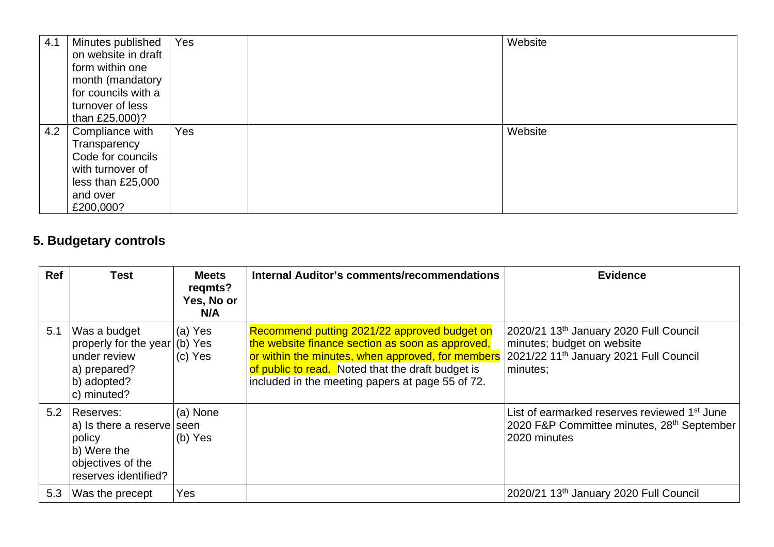| 4.1 | Minutes published   | Yes | Website |
|-----|---------------------|-----|---------|
|     | on website in draft |     |         |
|     | form within one     |     |         |
|     | month (mandatory    |     |         |
|     | for councils with a |     |         |
|     | turnover of less    |     |         |
|     | than £25,000)?      |     |         |
| 4.2 | Compliance with     | Yes | Website |
|     | Transparency        |     |         |
|     | Code for councils   |     |         |
|     | with turnover of    |     |         |
|     | less than £25,000   |     |         |
|     | and over            |     |         |
|     | £200,000?           |     |         |

## **5. Budgetary controls**

| <b>Ref</b> | Test                                                                                                              | <b>Meets</b><br>regmts?<br>Yes, No or<br>N/A | Internal Auditor's comments/recommendations                                                                                                                                                                                                                    | <b>Evidence</b>                                                                                                                        |
|------------|-------------------------------------------------------------------------------------------------------------------|----------------------------------------------|----------------------------------------------------------------------------------------------------------------------------------------------------------------------------------------------------------------------------------------------------------------|----------------------------------------------------------------------------------------------------------------------------------------|
| 5.1        | Was a budget<br>properly for the year<br>under review<br>a) prepared?<br>b) adopted?<br>c) minuted?               | (a) Yes<br>(b) Yes<br>(c) Yes                | Recommend putting 2021/22 approved budget on<br>the website finance section as soon as approved,<br>or within the minutes, when approved, for members<br>of public to read. Noted that the draft budget is<br>included in the meeting papers at page 55 of 72. | 2020/21 13th January 2020 Full Council<br>minutes; budget on website<br>2021/22 11 <sup>th</sup> January 2021 Full Council<br>minutes; |
|            | 5.2 Reserves:<br>a) Is there a reserve seen<br>policy<br>b) Were the<br>objectives of the<br>reserves identified? | (a) None<br>(b) Yes                          |                                                                                                                                                                                                                                                                | List of earmarked reserves reviewed 1 <sup>st</sup> June<br>2020 F&P Committee minutes, 28 <sup>th</sup> September<br>2020 minutes     |
| 5.3        | Was the precept                                                                                                   | Yes                                          |                                                                                                                                                                                                                                                                | 2020/21 13th January 2020 Full Council                                                                                                 |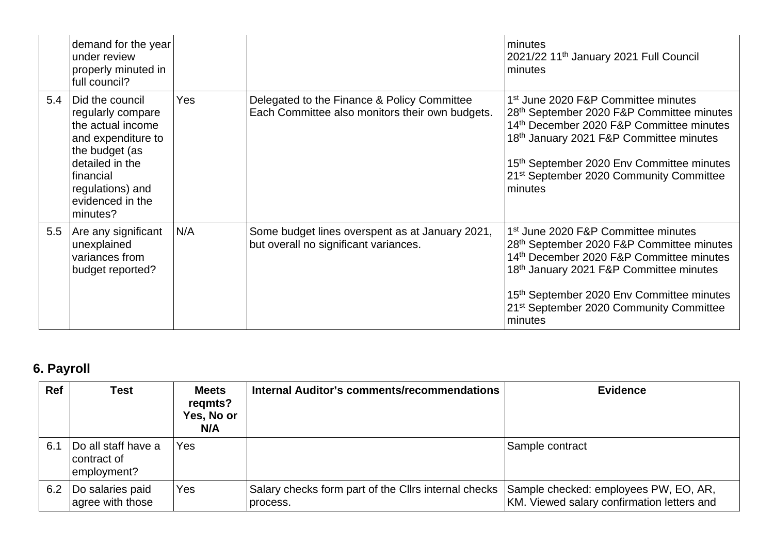|     | demand for the year<br>under review<br>properly minuted in<br>full council?                                                                                                           |            |                                                                                                | minutes<br>2021/22 11 <sup>th</sup> January 2021 Full Council<br>minutes                                                                                                                                                                                                                                                   |
|-----|---------------------------------------------------------------------------------------------------------------------------------------------------------------------------------------|------------|------------------------------------------------------------------------------------------------|----------------------------------------------------------------------------------------------------------------------------------------------------------------------------------------------------------------------------------------------------------------------------------------------------------------------------|
| 5.4 | Did the council<br>regularly compare<br>the actual income<br>and expenditure to<br>the budget (as<br>detailed in the<br>financial<br>regulations) and<br>evidenced in the<br>minutes? | <b>Yes</b> | Delegated to the Finance & Policy Committee<br>Each Committee also monitors their own budgets. | 1 <sup>st</sup> June 2020 F&P Committee minutes<br>28 <sup>th</sup> September 2020 F&P Committee minutes<br>14th December 2020 F&P Committee minutes<br>18 <sup>th</sup> January 2021 F&P Committee minutes<br>15th September 2020 Env Committee minutes<br>21 <sup>st</sup> September 2020 Community Committee<br>minutes |
| 5.5 | Are any significant<br>unexplained<br>variances from<br>budget reported?                                                                                                              | N/A        | Some budget lines overspent as at January 2021,<br>but overall no significant variances.       | 1 <sup>st</sup> June 2020 F&P Committee minutes<br>28th September 2020 F&P Committee minutes<br>14th December 2020 F&P Committee minutes<br>18 <sup>th</sup> January 2021 F&P Committee minutes<br>15 <sup>th</sup> September 2020 Env Committee minutes<br>21 <sup>st</sup> September 2020 Community Committee<br>minutes |

## **6. Payroll**

| <b>Ref</b> | <b>Test</b>                                       | <b>Meets</b><br>regmts?<br>Yes, No or<br>N/A | Internal Auditor's comments/recommendations                                                            | <b>Evidence</b>                            |
|------------|---------------------------------------------------|----------------------------------------------|--------------------------------------------------------------------------------------------------------|--------------------------------------------|
| 6.1        | Do all staff have a<br>contract of<br>employment? | Yes                                          |                                                                                                        | Sample contract                            |
| 6.2        | Do salaries paid<br>agree with those              | <b>Yes</b>                                   | Salary checks form part of the Cllrs internal checks Sample checked: employees PW, EO, AR,<br>process. | KM. Viewed salary confirmation letters and |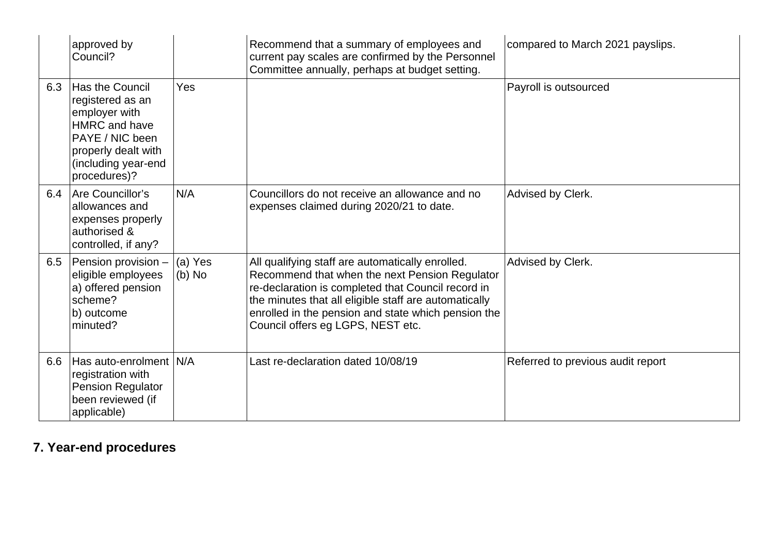|     | approved by<br>Council?                                                                                                                                       |                     | Recommend that a summary of employees and<br>current pay scales are confirmed by the Personnel<br>Committee annually, perhaps at budget setting.                                                                                                                                                              | compared to March 2021 payslips.  |
|-----|---------------------------------------------------------------------------------------------------------------------------------------------------------------|---------------------|---------------------------------------------------------------------------------------------------------------------------------------------------------------------------------------------------------------------------------------------------------------------------------------------------------------|-----------------------------------|
| 6.3 | Has the Council<br>registered as an<br>employer with<br><b>HMRC</b> and have<br>PAYE / NIC been<br>properly dealt with<br>(including year-end<br>procedures)? | Yes                 |                                                                                                                                                                                                                                                                                                               | Payroll is outsourced             |
| 6.4 | Are Councillor's<br>allowances and<br>expenses properly<br>authorised &<br>controlled, if any?                                                                | N/A                 | Councillors do not receive an allowance and no<br>expenses claimed during 2020/21 to date.                                                                                                                                                                                                                    | Advised by Clerk.                 |
| 6.5 | Pension provision -<br>eligible employees<br>a) offered pension<br>scheme?<br>b) outcome<br>minuted?                                                          | (a) Yes<br>$(b)$ No | All qualifying staff are automatically enrolled.<br>Recommend that when the next Pension Regulator<br>re-declaration is completed that Council record in<br>the minutes that all eligible staff are automatically<br>enrolled in the pension and state which pension the<br>Council offers eg LGPS, NEST etc. | Advised by Clerk.                 |
| 6.6 | Has auto-enrolment N/A<br>registration with<br><b>Pension Regulator</b><br>been reviewed (if<br>applicable)                                                   |                     | Last re-declaration dated 10/08/19                                                                                                                                                                                                                                                                            | Referred to previous audit report |

## **7. Year-end procedures**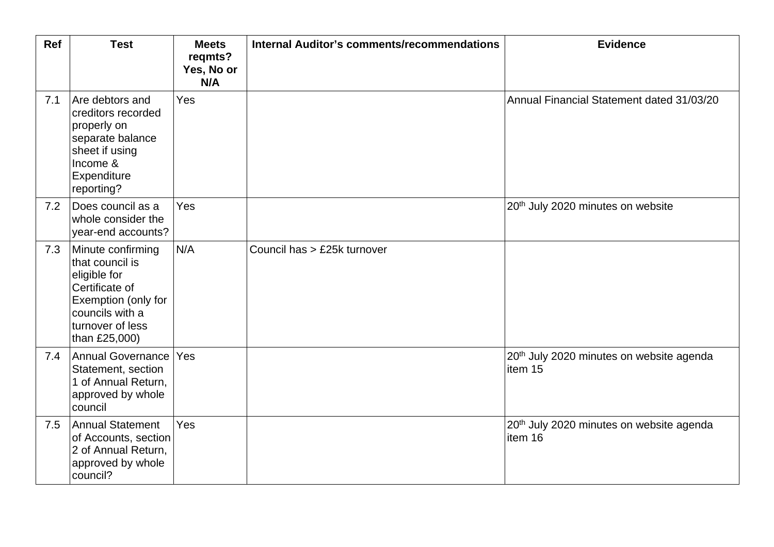| Ref | <b>Test</b>                                                                                                                                           | <b>Meets</b><br>regmts?<br>Yes, No or<br>N/A | <b>Internal Auditor's comments/recommendations</b> | <b>Evidence</b>                                                 |
|-----|-------------------------------------------------------------------------------------------------------------------------------------------------------|----------------------------------------------|----------------------------------------------------|-----------------------------------------------------------------|
| 7.1 | Are debtors and<br>creditors recorded<br>properly on<br>separate balance<br>sheet if using<br>Income &<br>Expenditure<br>reporting?                   | Yes                                          |                                                    | Annual Financial Statement dated 31/03/20                       |
| 7.2 | Does council as a<br>whole consider the<br>year-end accounts?                                                                                         | Yes                                          |                                                    | 20 <sup>th</sup> July 2020 minutes on website                   |
| 7.3 | Minute confirming<br>that council is<br>eligible for<br>Certificate of<br>Exemption (only for<br>councils with a<br>turnover of less<br>than £25,000) | N/A                                          | Council has > £25k turnover                        |                                                                 |
| 7.4 | <b>Annual Governance</b><br>Statement, section<br>1 of Annual Return,<br>approved by whole<br>council                                                 | Yes                                          |                                                    | 20 <sup>th</sup> July 2020 minutes on website agenda<br>item 15 |
| 7.5 | <b>Annual Statement</b><br>of Accounts, section<br>2 of Annual Return,<br>approved by whole<br>council?                                               | Yes                                          |                                                    | 20 <sup>th</sup> July 2020 minutes on website agenda<br>item 16 |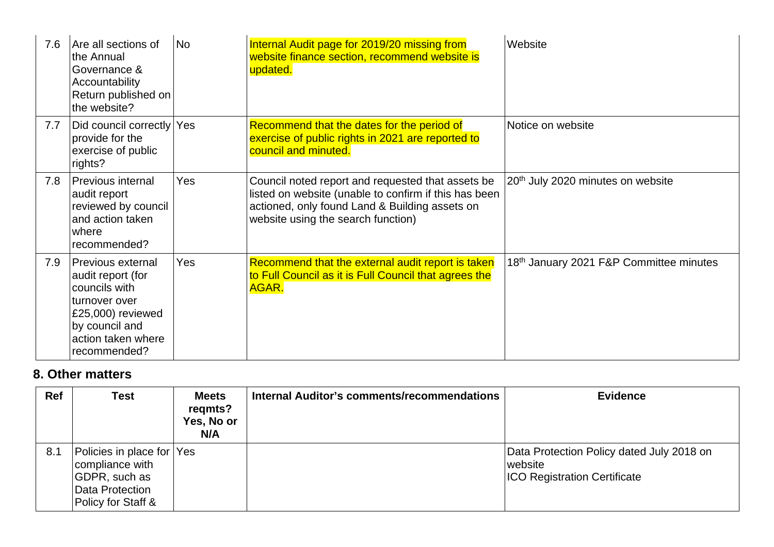| 7.6 | Are all sections of<br>the Annual<br>Governance &<br>Accountability<br>Return published on<br>the website?                                            | <b>No</b>  | Internal Audit page for 2019/20 missing from<br>website finance section, recommend website is<br>updated.                                                                                          | Website                                       |
|-----|-------------------------------------------------------------------------------------------------------------------------------------------------------|------------|----------------------------------------------------------------------------------------------------------------------------------------------------------------------------------------------------|-----------------------------------------------|
| 7.7 | Did council correctly Yes<br>provide for the<br>exercise of public<br>rights?                                                                         |            | Recommend that the dates for the period of<br>exercise of public rights in 2021 are reported to<br>council and minuted.                                                                            | Notice on website                             |
| 7.8 | Previous internal<br>audit report<br>reviewed by council<br>and action taken<br>where<br>recommended?                                                 | <b>Yes</b> | Council noted report and requested that assets be<br>listed on website (unable to confirm if this has been<br>actioned, only found Land & Building assets on<br>website using the search function) | 20 <sup>th</sup> July 2020 minutes on website |
| 7.9 | Previous external<br>audit report (for<br>councils with<br>turnover over<br>£25,000) reviewed<br>by council and<br>action taken where<br>recommended? | Yes        | Recommend that the external audit report is taken<br>to Full Council as it is Full Council that agrees the<br>AGAR.                                                                                | 18th January 2021 F&P Committee minutes       |

## **8. Other matters**

| <b>Ref</b> | Test                                                                                                   | <b>Meets</b><br>regmts?<br>Yes, No or<br>N/A | Internal Auditor's comments/recommendations | <b>Evidence</b>                                                                             |
|------------|--------------------------------------------------------------------------------------------------------|----------------------------------------------|---------------------------------------------|---------------------------------------------------------------------------------------------|
| 8.1        | Policies in place for Yes<br>compliance with<br>GDPR, such as<br>Data Protection<br>Policy for Staff & |                                              |                                             | Data Protection Policy dated July 2018 on<br>website<br><b>ICO Registration Certificate</b> |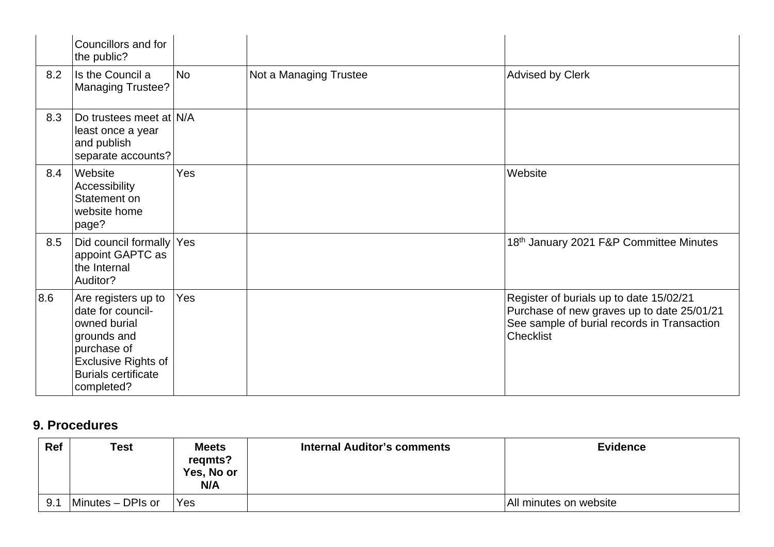|     | Councillors and for<br>the public?                                                                                                                               |           |                        |                                                                                                                                                          |
|-----|------------------------------------------------------------------------------------------------------------------------------------------------------------------|-----------|------------------------|----------------------------------------------------------------------------------------------------------------------------------------------------------|
| 8.2 | Is the Council a<br><b>Managing Trustee?</b>                                                                                                                     | <b>No</b> | Not a Managing Trustee | <b>Advised by Clerk</b>                                                                                                                                  |
| 8.3 | Do trustees meet at N/A<br>least once a year<br>and publish<br>separate accounts?                                                                                |           |                        |                                                                                                                                                          |
| 8.4 | Website<br>Accessibility<br>Statement on<br>website home<br>page?                                                                                                | Yes       |                        | Website                                                                                                                                                  |
| 8.5 | Did council formally Yes<br>appoint GAPTC as<br>the Internal<br>Auditor?                                                                                         |           |                        | 18th January 2021 F&P Committee Minutes                                                                                                                  |
| 8.6 | Are registers up to<br>date for council-<br>owned burial<br>grounds and<br>purchase of<br><b>Exclusive Rights of</b><br><b>Burials certificate</b><br>completed? | Yes       |                        | Register of burials up to date 15/02/21<br>Purchase of new graves up to date 25/01/21<br>See sample of burial records in Transaction<br><b>Checklist</b> |

## **9. Procedures**

| Ref | <b>Test</b>       | Meets<br>regmts?<br>Yes, No or<br>N/A | <b>Internal Auditor's comments</b> | <b>Evidence</b>        |
|-----|-------------------|---------------------------------------|------------------------------------|------------------------|
| 9.1 | Minutes - DPIs or | Yes                                   |                                    | All minutes on website |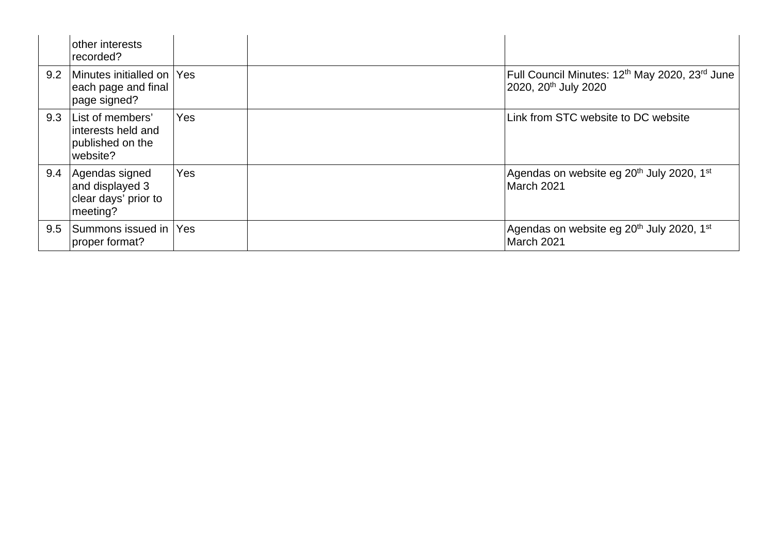|     | other interests<br>recorded?                                           |     |                                                                                                            |
|-----|------------------------------------------------------------------------|-----|------------------------------------------------------------------------------------------------------------|
| 9.2 | Minutes initialled on Yes<br>each page and final<br>page signed?       |     | Full Council Minutes: 12 <sup>th</sup> May 2020, 23 <sup>rd</sup> June<br>2020, 20 <sup>th</sup> July 2020 |
| 9.3 | List of members'<br>interests held and<br>published on the<br>website? | Yes | Link from STC website to DC website                                                                        |
| 9.4 | Agendas signed<br>and displayed 3<br>clear days' prior to<br>meeting?  | Yes | Agendas on website eg 20 <sup>th</sup> July 2020, 1 <sup>st</sup><br>March 2021                            |
| 9.5 | Summons issued in Yes<br>proper format?                                |     | Agendas on website eg 20 <sup>th</sup> July 2020, 1 <sup>st</sup><br>March 2021                            |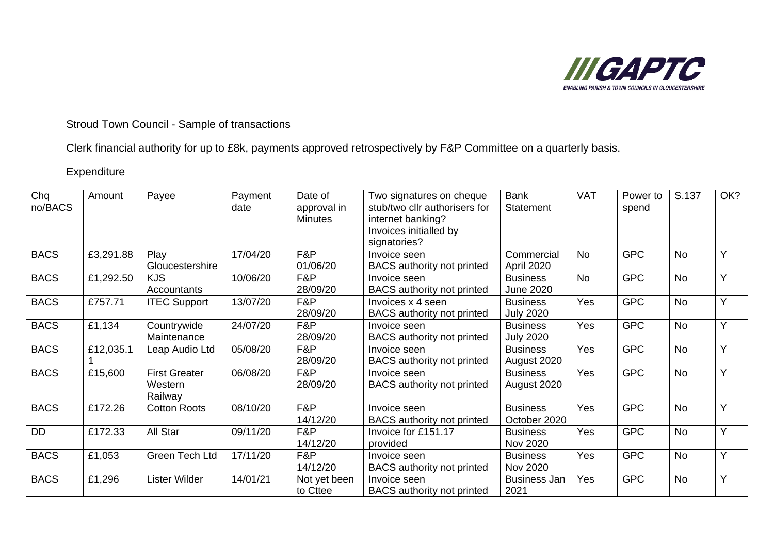

Stroud Town Council - Sample of transactions

Clerk financial authority for up to £8k, payments approved retrospectively by F&P Committee on a quarterly basis.

### Expenditure

| Chq<br>no/BACS | Amount    | Payee                                      | Payment<br>date | Date of<br>approval in<br><b>Minutes</b> | Two signatures on cheque<br>stub/two cllr authorisers for<br>internet banking?<br>Invoices initialled by<br>signatories? | <b>Bank</b><br><b>Statement</b>     | <b>VAT</b> | Power to<br>spend | S.137     | OK? |
|----------------|-----------|--------------------------------------------|-----------------|------------------------------------------|--------------------------------------------------------------------------------------------------------------------------|-------------------------------------|------------|-------------------|-----------|-----|
| <b>BACS</b>    | £3,291.88 | Play<br>Gloucestershire                    | 17/04/20        | F&P<br>01/06/20                          | Invoice seen<br><b>BACS</b> authority not printed                                                                        | Commercial<br>April 2020            | <b>No</b>  | <b>GPC</b>        | <b>No</b> | Y   |
| <b>BACS</b>    | £1,292.50 | <b>KJS</b><br>Accountants                  | 10/06/20        | F&P<br>28/09/20                          | Invoice seen<br><b>BACS</b> authority not printed                                                                        | <b>Business</b><br><b>June 2020</b> | <b>No</b>  | <b>GPC</b>        | <b>No</b> | Y   |
| <b>BACS</b>    | £757.71   | <b>ITEC Support</b>                        | 13/07/20        | F&P<br>28/09/20                          | Invoices x 4 seen<br><b>BACS</b> authority not printed                                                                   | <b>Business</b><br><b>July 2020</b> | Yes        | <b>GPC</b>        | <b>No</b> | Y   |
| <b>BACS</b>    | £1,134    | Countrywide<br>Maintenance                 | 24/07/20        | F&P<br>28/09/20                          | Invoice seen<br><b>BACS</b> authority not printed                                                                        | <b>Business</b><br><b>July 2020</b> | Yes        | <b>GPC</b>        | <b>No</b> | Ÿ   |
| <b>BACS</b>    | £12,035.1 | Leap Audio Ltd                             | 05/08/20        | F&P<br>28/09/20                          | Invoice seen<br>BACS authority not printed                                                                               | <b>Business</b><br>August 2020      | Yes        | <b>GPC</b>        | <b>No</b> | Y   |
| <b>BACS</b>    | £15,600   | <b>First Greater</b><br>Western<br>Railway | 06/08/20        | F&P<br>28/09/20                          | Invoice seen<br><b>BACS</b> authority not printed                                                                        | <b>Business</b><br>August 2020      | Yes        | <b>GPC</b>        | <b>No</b> | Ÿ   |
| <b>BACS</b>    | £172.26   | <b>Cotton Roots</b>                        | 08/10/20        | F&P<br>14/12/20                          | Invoice seen<br><b>BACS</b> authority not printed                                                                        | <b>Business</b><br>October 2020     | Yes        | <b>GPC</b>        | <b>No</b> | Y   |
| DD             | £172.33   | All Star                                   | 09/11/20        | F&P<br>14/12/20                          | Invoice for £151.17<br>provided                                                                                          | <b>Business</b><br>Nov 2020         | Yes        | <b>GPC</b>        | <b>No</b> | Y   |
| <b>BACS</b>    | £1,053    | Green Tech Ltd                             | 17/11/20        | F&P<br>14/12/20                          | Invoice seen<br><b>BACS</b> authority not printed                                                                        | <b>Business</b><br>Nov 2020         | Yes        | <b>GPC</b>        | <b>No</b> | Y   |
| <b>BACS</b>    | £1,296    | Lister Wilder                              | 14/01/21        | Not yet been<br>to Cttee                 | Invoice seen<br><b>BACS</b> authority not printed                                                                        | <b>Business Jan</b><br>2021         | Yes        | <b>GPC</b>        | <b>No</b> | Ÿ   |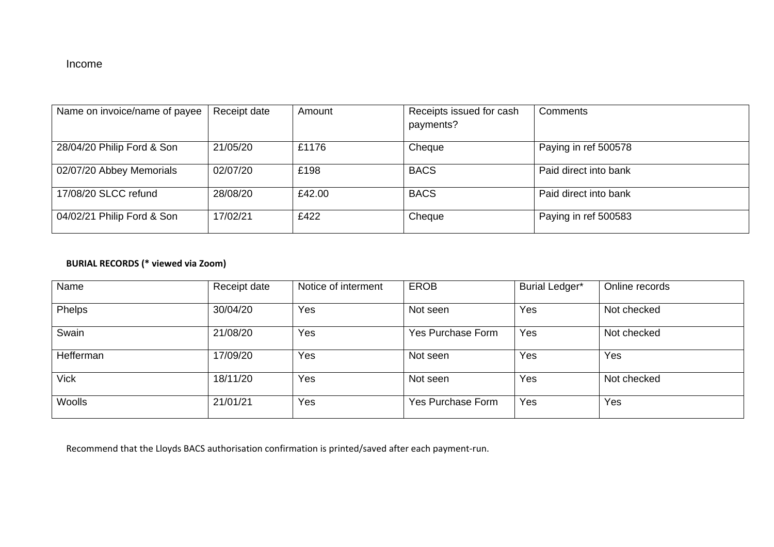### Income

| Name on invoice/name of payee                                                  | Receipt date                     | Amount                 | Receipts issued for cash             | Comments                                                               |
|--------------------------------------------------------------------------------|----------------------------------|------------------------|--------------------------------------|------------------------------------------------------------------------|
|                                                                                |                                  |                        | payments?                            |                                                                        |
|                                                                                |                                  |                        |                                      |                                                                        |
| 28/04/20 Philip Ford & Son                                                     | 21/05/20                         | £1176                  | Cheque                               | Paying in ref 500578                                                   |
|                                                                                |                                  |                        |                                      |                                                                        |
|                                                                                |                                  |                        |                                      |                                                                        |
|                                                                                |                                  |                        |                                      |                                                                        |
|                                                                                |                                  |                        |                                      |                                                                        |
|                                                                                |                                  |                        |                                      |                                                                        |
|                                                                                |                                  |                        |                                      |                                                                        |
|                                                                                |                                  |                        |                                      |                                                                        |
| 02/07/20 Abbey Memorials<br>17/08/20 SLCC refund<br>04/02/21 Philip Ford & Son | 02/07/20<br>28/08/20<br>17/02/21 | £198<br>£42.00<br>£422 | <b>BACS</b><br><b>BACS</b><br>Cheque | Paid direct into bank<br>Paid direct into bank<br>Paying in ref 500583 |

### **BURIAL RECORDS (\* viewed via Zoom)**

| Name        | Receipt date | Notice of interment | <b>EROB</b>              | <b>Burial Ledger*</b> | Online records |
|-------------|--------------|---------------------|--------------------------|-----------------------|----------------|
| Phelps      | 30/04/20     | Yes                 | Not seen                 | Yes                   | Not checked    |
| Swain       | 21/08/20     | Yes                 | <b>Yes Purchase Form</b> | Yes                   | Not checked    |
| Hefferman   | 17/09/20     | Yes                 | Not seen                 | Yes                   | Yes            |
| <b>Vick</b> | 18/11/20     | Yes                 | Not seen                 | Yes                   | Not checked    |
| Woolls      | 21/01/21     | Yes                 | <b>Yes Purchase Form</b> | Yes                   | Yes            |

Recommend that the Lloyds BACS authorisation confirmation is printed/saved after each payment-run.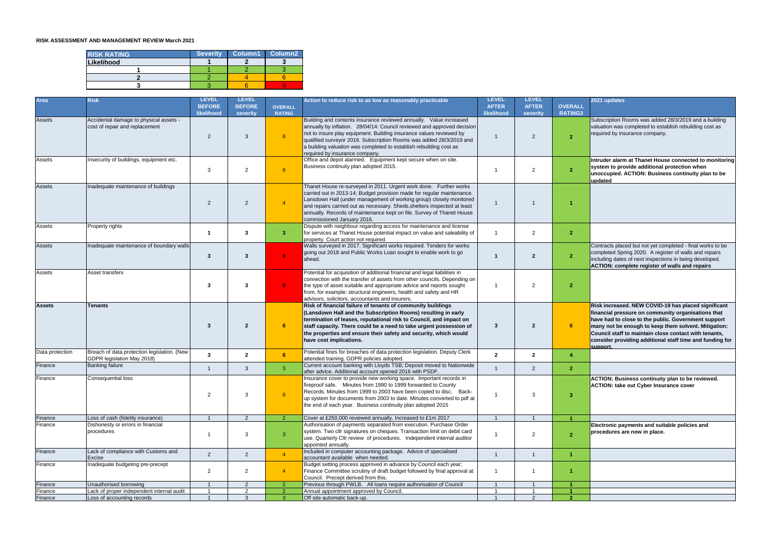#### **RISK ASSESSMENT AND MANAGEMENT REVIEW March 2021**

| <b>RISK RATING</b> | <b>Severity</b> | <b>Column1</b> | Column <sub>2</sub> |
|--------------------|-----------------|----------------|---------------------|
| Likelihood         |                 |                |                     |
|                    |                 |                |                     |
|                    |                 |                |                     |
|                    |                 |                |                     |

| <b>Area</b>     | <b>Risk</b>                                                               | <b>LEVEL</b><br><b>BEFORE</b><br>likelihood | <b>LEVEL</b><br><b>BEFORE</b><br>severity | <b>OVERALL</b><br><b>RATING</b> | Action to reduce risk to as low as reasonably practicable                                                                                                                                                                                                                                                                                                                                             | <b>LEVEL</b><br><b>AFTER</b><br>likelihood | <b>LEVEL</b><br><b>AFTER</b><br>severity | <b>OVERALL</b><br>RATING3 | 2021 updates                                                                                                                                                                                                                                                                                                                                              |
|-----------------|---------------------------------------------------------------------------|---------------------------------------------|-------------------------------------------|---------------------------------|-------------------------------------------------------------------------------------------------------------------------------------------------------------------------------------------------------------------------------------------------------------------------------------------------------------------------------------------------------------------------------------------------------|--------------------------------------------|------------------------------------------|---------------------------|-----------------------------------------------------------------------------------------------------------------------------------------------------------------------------------------------------------------------------------------------------------------------------------------------------------------------------------------------------------|
| <b>Assets</b>   | Accidental damage to physical assets -<br>cost of repair and replacement  | $\overline{2}$                              | 3                                         | 6                               | Building and contents insurance reviewed annually. Value increased<br>annually by inflation. 28/04/14: Council reviewed and approved decision<br>not to insure play equipment. Building insurance values reviewed by<br>qualified surveyor 2016. Subscription Rooms was added 28/3/2019 and<br>a building valuation was completed to establish rebuilding cost as<br>required by insurance company.   |                                            | $\overline{2}$                           | $\overline{2}$            | Subscription Rooms was added 28/3/2019 and a building<br>valuation was completed to establish rebuilding cost as<br>required by insurance company.                                                                                                                                                                                                        |
| Assets          | Insecurity of buildings, equipment etc.                                   | 3                                           | 2                                         | 6                               | Office and depot alarmed. Equipment kept secure when on site.<br>Business continuity plan adopted 2015.                                                                                                                                                                                                                                                                                               |                                            | $\overline{2}$                           | $\overline{2}$            | Intruder alarm at Thanet House connected to monitoring<br>system to provide additional protection when<br>unoccupied. ACTION: Business continuity plan to be<br>updated                                                                                                                                                                                   |
| <b>Assets</b>   | Inadequate maintenance of buildings                                       | 2                                           | 2                                         |                                 | Thanet House re-surveyed in 2011. Urgent work done. Further works<br>carried out in 2013-14; Budget provision made for regular maintenance.<br>Lansdown Hall (under management of working group) closely monitored<br>and repairs carried out as necessary. Sheds, shelters inspected at least<br>annually. Records of maintenance kept on file. Survey of Thanet House<br>commissioned January 2016. |                                            |                                          |                           |                                                                                                                                                                                                                                                                                                                                                           |
| Assets          | Property rights                                                           |                                             | -3                                        | 3                               | Dispute with neighbour regarding access for maintenance and license<br>for services at Thanet House potential impact on value and saleability of<br>property. Court action not required.                                                                                                                                                                                                              |                                            | $\overline{2}$                           | $\overline{2}$            |                                                                                                                                                                                                                                                                                                                                                           |
| <b>Assets</b>   | Inadequate maintenance of boundary walls                                  | $\mathbf{3}$                                | $\mathbf{3}$                              | $\bullet$                       | Walls surveyed in 2017. Significant works required. Tenders for works<br>going out 2018 and Public Works Loan sought to enable work to go<br>ahead.                                                                                                                                                                                                                                                   |                                            | 2                                        | $\overline{2}$            | Contracts placed but not yet completed - final works to be<br>completed Spring 2020. A register of walls and repairs<br>including dates of next inspections in being developed.<br>ACTION: complete register of walls and repairs                                                                                                                         |
| Assets          | Asset transfers                                                           | 3                                           | -3                                        | $\mathbf{Q}$                    | Potential for acquisition of additional financial and legal liabilities in<br>connection with the transfer of assets from other councils. Depending on<br>the type of asset suitable and appropriate advice and reports sought<br>from, for example: structural engineers, health and safety and HR<br>advisors, solicitors, accountants and insurers.                                                |                                            | $\overline{2}$                           | $\overline{2}$            |                                                                                                                                                                                                                                                                                                                                                           |
| <b>Assets</b>   | <b>Tenants</b>                                                            | 3                                           | $\overline{2}$                            | -6                              | Risk of financial failure of tenants of community buildings<br>(Lansdown Hall and the Subscription Rooms) resulting in early<br>termination of leases, reputational risk to Council, and impact on<br>staff capacity. There could be a need to take urgent possession of<br>the properties and ensure their safety and security, which would<br>have cost implications.                               | 3                                          |                                          |                           | Risk increased. NEW COVID-19 has placed significant<br>financial pressure on community organisations that<br>have had to close to the public. Government support<br>many not be enough to keep them solvent. Mitigation:<br>Council staff to maintain close contact with tenants,<br>consider providing additional staff time and funding for<br>support. |
| Data protection | Breach of data protection legislation. (New<br>GDPR legislation May 2018) | 3                                           | $\mathbf{2}$                              | 6                               | Potential fines for breaches of data protection legislation. Deputy Clerk<br>attended training. GDPR policies adopted.                                                                                                                                                                                                                                                                                | $\mathbf{2}$                               | $\overline{2}$                           |                           |                                                                                                                                                                                                                                                                                                                                                           |
| Finance         | <b>Banking failure</b>                                                    |                                             | 3                                         | 3                               | Current account banking with Lloyds TSB; Deposit moved to Nationwide<br>after advice. Additional account opened 2016 with PSDF.                                                                                                                                                                                                                                                                       |                                            | 2                                        | $\mathbf{2}$              |                                                                                                                                                                                                                                                                                                                                                           |
| Finance         | Consequential loss                                                        | 2                                           | 3                                         | 6                               | Insurance cover to provide new working space. Important records in<br>fireproof safe. Minutes from 1990 to 1999 forwarded to County<br>Records. Minutes from 1999 to 2003 have been copied to disc. Back-<br>up system for documents from 2003 to date. Minutes converted to pdf at<br>the end of each year. Business continuity plan adopted 2015                                                    |                                            | 3                                        | $\overline{\mathbf{3}}$   | <b>ACTION: Business continuity plan to be reviewed.</b><br><b>ACTION: take out Cyber Insurance cover</b>                                                                                                                                                                                                                                                  |
| Finance         | Loss of cash (fidelity insurance)                                         |                                             | $\mathcal{P}$                             | $\mathcal{P}$                   | Cover at £250,000 reviewed annually. Increased to £1m 2017                                                                                                                                                                                                                                                                                                                                            |                                            |                                          |                           |                                                                                                                                                                                                                                                                                                                                                           |
| Finance         | Dishonesty or errors in financial<br>procedures                           |                                             | 3                                         | 3                               | Authorisation of payments separated from execution. Purchase Order<br>system. Two cllr signatures on cheques. Transaction limit on debit card<br>use. Quarterly Cllr review of procedures. Independent internal auditor<br>appointed annually.                                                                                                                                                        |                                            | $\overline{2}$                           | $\overline{2}$            | Electronic payments and suitable policies and<br>procedures are now in place.                                                                                                                                                                                                                                                                             |
| Finance         | Lack of compliance with Customs and<br>Excise                             | $\overline{2}$                              | $\overline{2}$                            | $\overline{4}$                  | Included in computer accounting package. Advice of specialised<br>accountant available when needed.                                                                                                                                                                                                                                                                                                   |                                            |                                          |                           |                                                                                                                                                                                                                                                                                                                                                           |
| Finance         | Inadequate budgeting pre-precept                                          | $\overline{2}$                              | $\overline{2}$                            |                                 | Budget setting process approved in advance by Council each year;<br>Finance Committee scrutiny of draft budget followed by final approval at<br>Council. Precept derived from this.                                                                                                                                                                                                                   |                                            |                                          |                           |                                                                                                                                                                                                                                                                                                                                                           |
| Finance         | Unauthorised borrowing                                                    |                                             | $\mathcal{P}$                             |                                 | Previous through PWLB. All loans require authorisation of Council                                                                                                                                                                                                                                                                                                                                     |                                            |                                          |                           |                                                                                                                                                                                                                                                                                                                                                           |
| Finance         | Lack of proper independent internal audit                                 |                                             | - 2                                       |                                 | Annual appointment approved by Council                                                                                                                                                                                                                                                                                                                                                                |                                            |                                          |                           |                                                                                                                                                                                                                                                                                                                                                           |
| Finance         | Loss of accounting records                                                |                                             | ્વ                                        |                                 | Off site automatic back-up.                                                                                                                                                                                                                                                                                                                                                                           |                                            |                                          | $\mathbf{\Omega}$         |                                                                                                                                                                                                                                                                                                                                                           |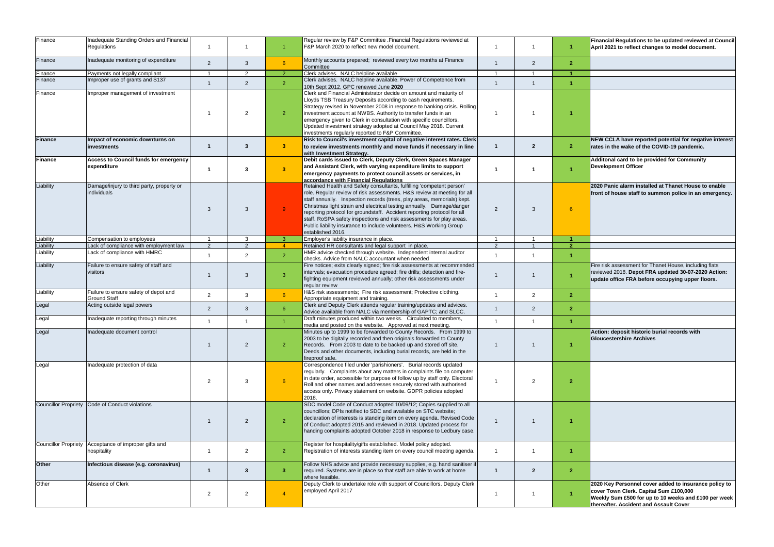| Finance   | Inadequate Standing Orders and Financial<br>Regulations              |                |                |                | Regular review by F&P Committee .Financial Regulations reviewed at<br>F&P March 2020 to reflect new model document.                                                                                                                                                                                                                                                                                                                                                                                                                                 |                |                         |                         | Financial Regulations to be updated reviewed at Council<br>April 2021 to reflect changes to model document.                                                                                       |
|-----------|----------------------------------------------------------------------|----------------|----------------|----------------|-----------------------------------------------------------------------------------------------------------------------------------------------------------------------------------------------------------------------------------------------------------------------------------------------------------------------------------------------------------------------------------------------------------------------------------------------------------------------------------------------------------------------------------------------------|----------------|-------------------------|-------------------------|---------------------------------------------------------------------------------------------------------------------------------------------------------------------------------------------------|
| Finance   | Inadequate monitoring of expenditure                                 | 2              | 3              | 6              | Monthly accounts prepared; reviewed every two months at Finance<br>Committee                                                                                                                                                                                                                                                                                                                                                                                                                                                                        |                | $\overline{2}$          | $\overline{\mathbf{2}}$ |                                                                                                                                                                                                   |
| Finance   | Payments not legally compliant                                       |                | 2              | 2              | Clerk advises. NALC helpline available                                                                                                                                                                                                                                                                                                                                                                                                                                                                                                              |                |                         |                         |                                                                                                                                                                                                   |
| Finance   | Improper use of grants and S137                                      |                | 2              | $\overline{2}$ | Clerk advises. NALC helpline available. Power of Competence from<br>10th Sept 2012. GPC renewed June 2020                                                                                                                                                                                                                                                                                                                                                                                                                                           |                |                         |                         |                                                                                                                                                                                                   |
| Finance   | Improper management of investment                                    |                | $\overline{2}$ | $\overline{2}$ | Clerk and Financial Administrator decide on amount and maturity of<br>Lloyds TSB Treasury Deposits according to cash requirements.<br>Strategy revised in November 2008 in response to banking crisis. Rolling<br>investment account at NWBS. Authority to transfer funds in an<br>emergency given to Clerk in consultation with specific councillors.<br>Updated investment strategy adopted at Council May 2018. Current<br>investments regularly reported to F&P Committee.                                                                      |                |                         |                         |                                                                                                                                                                                                   |
| Finance   | Impact of economic downturns on<br>investments                       | -1             | 3              | $\mathbf{3}$   | Risk to Council's investment capital of negative interest rates. Clerk<br>to review investments monthly and move funds if necessary in line<br>with Investment Strategy.                                                                                                                                                                                                                                                                                                                                                                            |                | $\overline{2}$          | $\overline{2}$          | NEW CCLA have reported potential for negative interest<br>rates in the wake of the COVID-19 pandemic.                                                                                             |
| Finance   | <b>Access to Council funds for emergency</b><br>expenditure          | -1             | $\mathbf{3}$   | $\mathbf{3}$   | Debit cards issued to Clerk, Deputy Clerk, Green Spaces Manager<br>and Assistant Clerk, with varying expenditure limits to support<br>emergency payments to protect council assets or services, in<br>accordance with Financial Requlations                                                                                                                                                                                                                                                                                                         |                |                         |                         | Additonal card to be provided for Community<br><b>Development Officer</b>                                                                                                                         |
| Liability | Damage/injury to third party, property or<br>individuals             | 3              | 3              | $\alpha$       | Retained Health and Safety consultants, fulfilling 'competent person'<br>role. Regular review of risk assessments. H&S review at meeting for all<br>staff annually. Inspection records (trees, play areas, memorials) kept.<br>Christmas light strain and electrical testing annually. Damage/danger<br>reporting protocol for groundstaff. Accident reporting protocol for all<br>staff. RoSPA safety inspections and risk assessments for play areas.<br>Public liability insurance to include volunteers. H&S Working Group<br>established 2016. | -2             | 3                       | 6                       | 2020 Panic alarm installed at Thanet House to enable<br>front of house staff to summon police in an emergency.                                                                                    |
| Liability | Compensation to employees                                            |                | 3              |                | Employer's liability insurance in place.                                                                                                                                                                                                                                                                                                                                                                                                                                                                                                            |                |                         |                         |                                                                                                                                                                                                   |
| Liability | Lack of compliance with employment law                               | 2              | $\mathcal{P}$  |                | Retained HR consultants and legal support in place.                                                                                                                                                                                                                                                                                                                                                                                                                                                                                                 | $\mathcal{P}$  |                         | $\overline{\mathbf{z}}$ |                                                                                                                                                                                                   |
| Liability | Lack of compliance with HMRC                                         |                | 2              | $\overline{2}$ | HMR advice checked through website. Independent internal auditor<br>checks. Advice from NALC accountant when needed                                                                                                                                                                                                                                                                                                                                                                                                                                 |                |                         |                         |                                                                                                                                                                                                   |
| Liability | Failure to ensure safety of staff and<br>visitors                    |                |                |                | Fire notices; exits clearly signed; fire risk assessments at recommended<br>intervals; evacuation procedure agreed; fire drills; detection and fire-<br>fighting equipment reviewed annually; other risk assessments under<br>regular review                                                                                                                                                                                                                                                                                                        | $\overline{1}$ |                         | $\blacktriangleleft$    | Fire risk assessment for Thanet House, including flats<br>reviewed 2018. Depot FRA updated 30-07-2020 Action:<br>update office FRA before occupying upper floors.                                 |
| Liability | Failure to ensure safety of depot and<br><b>Ground Staff</b>         | $\overline{2}$ | 3              | $6^{\circ}$    | H&S risk assessments; Fire risk assessment; Protective clothing.<br>Appropriate equipment and training.                                                                                                                                                                                                                                                                                                                                                                                                                                             |                | $\overline{2}$          | $\overline{2}$          |                                                                                                                                                                                                   |
| Legal     | Acting outside legal powers                                          | 2              | 3              | 6              | Clerk and Deputy Clerk attends regular training/updates and advices.<br>Advice available from NALC via membership of GAPTC; and SLCC.                                                                                                                                                                                                                                                                                                                                                                                                               |                | $\overline{2}$          | $\mathbf{2}$            |                                                                                                                                                                                                   |
| Legal     | Inadequate reporting through minutes                                 |                |                |                | Draft minutes produced within two weeks. Circulated to members,<br>media and posted on the website. Approved at next meeting.                                                                                                                                                                                                                                                                                                                                                                                                                       |                |                         |                         |                                                                                                                                                                                                   |
| Legal     | Inadequate document control                                          |                | 2              | $\overline{2}$ | Minutes up to 1999 to be forwarded to County Records. From 1999 to<br>2003 to be digitally recorded and then originals forwarded to County<br>Records. From 2003 to date to be backed up and stored off site.<br>Deeds and other documents, including burial records, are held in the<br>fireproof safe.                                                                                                                                                                                                                                            |                |                         |                         | Action: deposit historic burial records with<br><b>Gloucestershire Archives</b>                                                                                                                   |
| Legal     | Inadequate protection of data                                        | 2              | 3              | $6^{\circ}$    | Correspondence filed under 'parishioners'. Burial records updated<br>regularly. Complaints about any matters in complaints file on computer<br>in date order, accessible for purpose of follow up by staff only. Electoral<br>Roll and other names and addresses securely stored with authorised<br>access only. Privacy statement on website. GDPR policies adopted<br>2018.                                                                                                                                                                       |                | 2                       | $\overline{2}$          |                                                                                                                                                                                                   |
|           | Councillor Propriety Code of Conduct violations                      |                | 2              | $\overline{2}$ | SDC model Code of Conduct adopted 10/09/12; Copies supplied to all<br>councillors; DPIs notified to SDC and available on STC website;<br>declaration of interests is standing item on every agenda. Revised Code<br>of Conduct adopted 2015 and reviewed in 2018. Updated process for<br>handing complaints adopted October 2018 in response to Ledbury case.                                                                                                                                                                                       |                |                         |                         |                                                                                                                                                                                                   |
|           | Councillor Propriety Acceptance of improper gifts and<br>hospitality |                | 2              | $\overline{2}$ | Register for hospitality/gifts established. Model policy adopted.<br>Registration of interests standing item on every council meeting agenda.                                                                                                                                                                                                                                                                                                                                                                                                       |                |                         |                         |                                                                                                                                                                                                   |
| Other     | Infectious disease (e.g. coronavirus)                                |                | 3              | 3              | Follow NHS advice and provide necessary supplies, e.g. hand sanitiser if<br>required. Systems are in place so that staff are able to work at home<br>where feasible.                                                                                                                                                                                                                                                                                                                                                                                |                | $\overline{\mathbf{2}}$ | $\overline{2}$          |                                                                                                                                                                                                   |
| Other     | Absence of Clerk                                                     | 2              | 2              |                | Deputy Clerk to undertake role with support of Councillors. Deputy Clerk<br>employed April 2017                                                                                                                                                                                                                                                                                                                                                                                                                                                     |                |                         |                         | 2020 Key Personnel cover added to insurance policy to<br>cover Town Clerk. Capital Sum £100,000<br>Weekly Sum £500 for up to 10 weeks and £100 per week<br>thereafter. Accident and Assault Cover |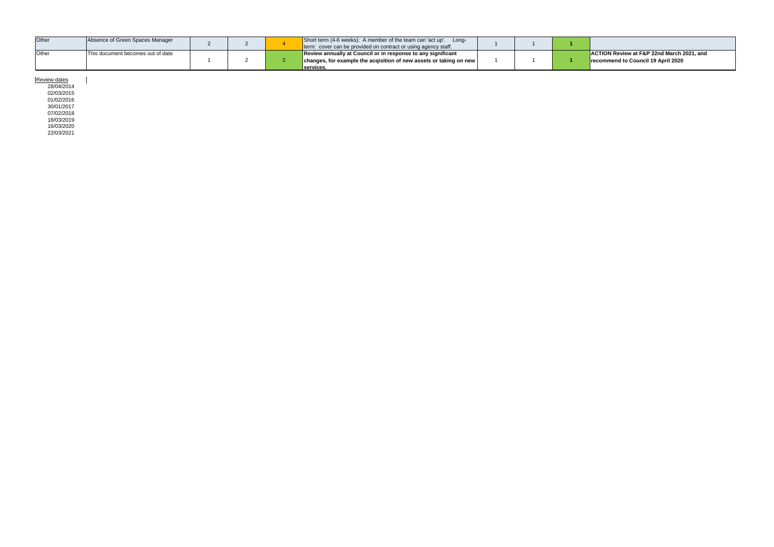| Other        | Absence of Green Spaces Manager           |  | Short term (4-6 weeks): A member of the team can 'act up'. Long-<br>term: cover can be provided on contract or using agency staff.              |  |                                                                                                    |
|--------------|-------------------------------------------|--|-------------------------------------------------------------------------------------------------------------------------------------------------|--|----------------------------------------------------------------------------------------------------|
| <b>Other</b> | <b>IThis document becomes out of date</b> |  | Review annually at Council or in response to any significant<br>changes, for example the acqisition of new assets or taking on new<br>services. |  | <b>ACTION Review at F&amp;P 22nd March 2021, and</b><br><b>Precommend to Council 19 April 2020</b> |

Review dates

28/04/2014 02/03/2015 01/02/2016 30/01/2017 07/02/2018 18/03/2019 16/03/2020 22/03/2021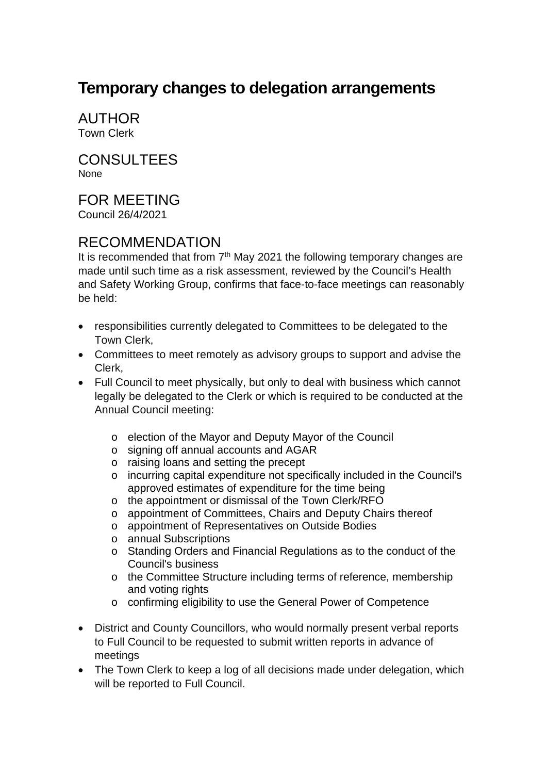## **Temporary changes to delegation arrangements**

AUTHOR Town Clerk

CONSULTEES None

## FOR MEETING

Council 26/4/2021

## RECOMMENDATION

It is recommended that from  $7<sup>th</sup>$  May 2021 the following temporary changes are made until such time as a risk assessment, reviewed by the Council's Health and Safety Working Group, confirms that face-to-face meetings can reasonably be held:

- responsibilities currently delegated to Committees to be delegated to the Town Clerk,
- Committees to meet remotely as advisory groups to support and advise the Clerk,
- Full Council to meet physically, but only to deal with business which cannot legally be delegated to the Clerk or which is required to be conducted at the Annual Council meeting:
	- o election of the Mayor and Deputy Mayor of the Council
	- o signing off annual accounts and AGAR
	- o raising loans and setting the precept
	- o incurring capital expenditure not specifically included in the Council's approved estimates of expenditure for the time being
	- o the appointment or dismissal of the Town Clerk/RFO
	- o appointment of Committees, Chairs and Deputy Chairs thereof
	- o appointment of Representatives on Outside Bodies
	- o annual Subscriptions
	- o Standing Orders and Financial Regulations as to the conduct of the Council's business
	- o the Committee Structure including terms of reference, membership and voting rights
	- o confirming eligibility to use the General Power of Competence
- District and County Councillors, who would normally present verbal reports to Full Council to be requested to submit written reports in advance of meetings
- The Town Clerk to keep a log of all decisions made under delegation, which will be reported to Full Council.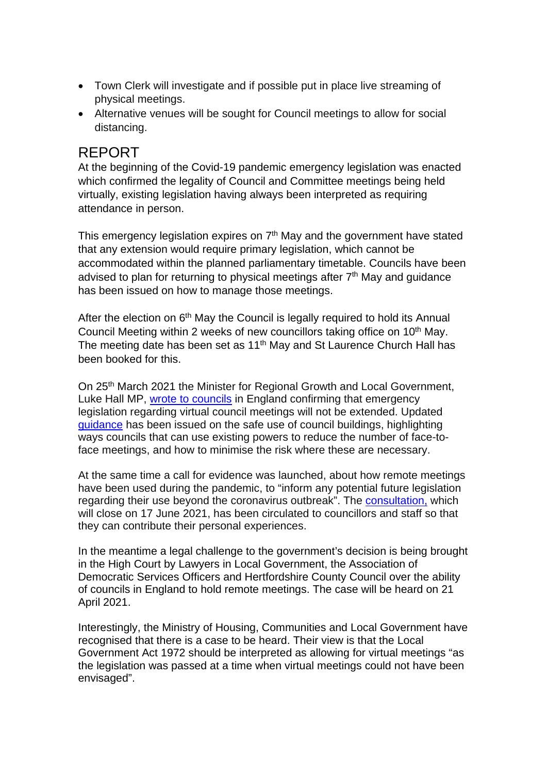- Town Clerk will investigate and if possible put in place live streaming of physical meetings.
- Alternative venues will be sought for Council meetings to allow for social distancing.

## REPORT

At the beginning of the Covid-19 pandemic emergency legislation was enacted which confirmed the legality of Council and Committee meetings being held virtually, existing legislation having always been interpreted as requiring attendance in person.

This emergency legislation expires on  $7<sup>th</sup>$  May and the government have stated that any extension would require primary legislation, which cannot be accommodated within the planned parliamentary timetable. Councils have been advised to plan for returning to physical meetings after 7<sup>th</sup> May and guidance has been issued on how to manage those meetings.

After the election on  $6<sup>th</sup>$  May the Council is legally required to hold its Annual Council Meeting within 2 weeks of new councillors taking office on 10<sup>th</sup> May. The meeting date has been set as 11<sup>th</sup> May and St Laurence Church Hall has been booked for this.

On 25th March 2021 the Minister for Regional Growth and Local Government, Luke Hall MP, [wrote to councils](https://www.gov.uk/government/publications/covid-19-letter-to-council-leaders-on-the-future-of-remote-meetings) in England confirming that emergency legislation regarding virtual council meetings will not be extended. Updated [guidance](https://www.gov.uk/government/publications/covid-19-guidance-for-the-safe-use-of-council-buildings/covid-19-guidance-for-the-safe-use-of-council-buildings) has been issued on the safe use of council buildings, highlighting ways councils that can use existing powers to reduce the number of face-toface meetings, and how to minimise the risk where these are necessary.

At the same time a call for evidence was launched, about how remote meetings have been used during the pandemic, to "inform any potential future legislation regarding their use beyond the coronavirus outbreak". The **consultation**, which will close on 17 June 2021, has been circulated to councillors and staff so that they can contribute their personal experiences.

In the meantime a legal challenge to the government's decision is being brought in the High Court by Lawyers in Local Government, the Association of Democratic Services Officers and Hertfordshire County Council over the ability of councils in England to hold remote meetings. The case will be heard on 21 April 2021.

Interestingly, the Ministry of Housing, Communities and Local Government have recognised that there is a case to be heard. Their view is that the Local Government Act 1972 should be interpreted as allowing for virtual meetings "as the legislation was passed at a time when virtual meetings could not have been envisaged".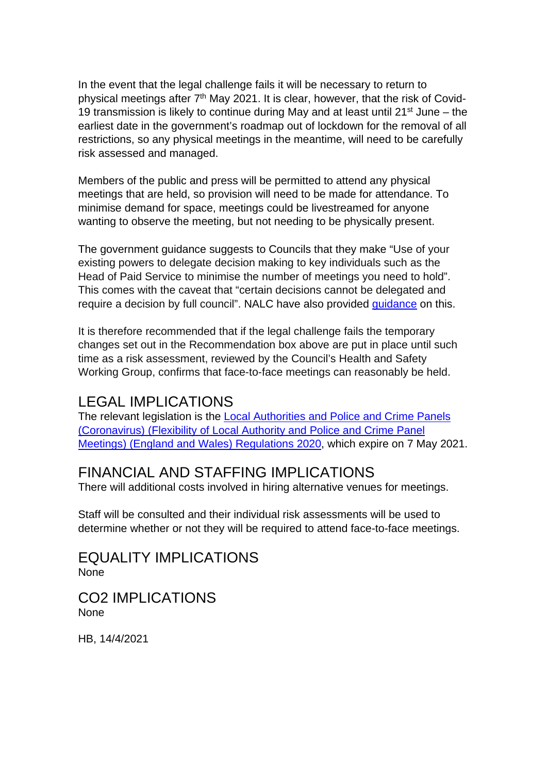In the event that the legal challenge fails it will be necessary to return to physical meetings after 7<sup>th</sup> May 2021. It is clear, however, that the risk of Covid-19 transmission is likely to continue during May and at least until  $21^{st}$  June – the earliest date in the government's roadmap out of lockdown for the removal of all restrictions, so any physical meetings in the meantime, will need to be carefully risk assessed and managed.

Members of the public and press will be permitted to attend any physical meetings that are held, so provision will need to be made for attendance. To minimise demand for space, meetings could be livestreamed for anyone wanting to observe the meeting, but not needing to be physically present.

The government guidance suggests to Councils that they make "Use of your existing powers to delegate decision making to key individuals such as the Head of Paid Service to minimise the number of meetings you need to hold". This comes with the caveat that "certain decisions cannot be delegated and require a decision by full council". NALC have also provided [guidance](https://www.nalc.gov.uk/coronavirus#preparing-for-the-possible-return-of-face-to-face-meetings) on this.

It is therefore recommended that if the legal challenge fails the temporary changes set out in the Recommendation box above are put in place until such time as a risk assessment, reviewed by the Council's Health and Safety Working Group, confirms that face-to-face meetings can reasonably be held.

## LEGAL IMPLICATIONS

The relevant legislation is the [Local Authorities and Police and Crime Panels](https://www.legislation.gov.uk/uksi/2020/392/contents/made)  [\(Coronavirus\) \(Flexibility of Local Authority and Police and Crime Panel](https://www.legislation.gov.uk/uksi/2020/392/contents/made)  [Meetings\) \(England and Wales\) Regulations 2020,](https://www.legislation.gov.uk/uksi/2020/392/contents/made) which expire on 7 May 2021.

## FINANCIAL AND STAFFING IMPLICATIONS

There will additional costs involved in hiring alternative venues for meetings.

Staff will be consulted and their individual risk assessments will be used to determine whether or not they will be required to attend face-to-face meetings.

EQUALITY IMPLICATIONS None

CO2 IMPLICATIONS None

HB, 14/4/2021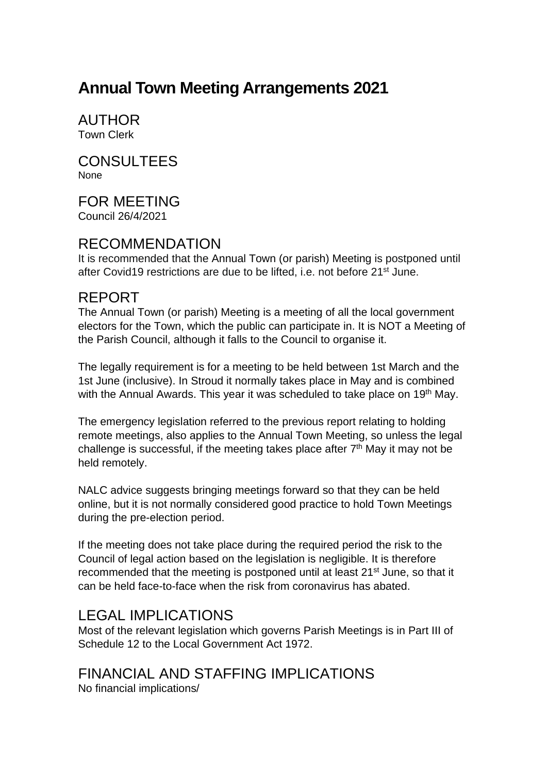## **Annual Town Meeting Arrangements <sup>2021</sup>**

AUTHOR Town Clerk

CONSULTEES None

FOR MEETING Council 26/4/2021

## RECOMMENDATION

It is recommended that the Annual Town (or parish) Meeting is postponed until after Covid19 restrictions are due to be lifted, i.e. not before 21<sup>st</sup> June.

## REPORT

The Annual Town (or parish) Meeting is a meeting of all the local government electors for the Town, which the public can participate in. It is NOT a Meeting of the Parish Council, although it falls to the Council to organise it.

The legally requirement is for a meeting to be held between 1st March and the 1st June (inclusive). In Stroud it normally takes place in May and is combined with the Annual Awards. This year it was scheduled to take place on 19<sup>th</sup> May.

The emergency legislation referred to the previous report relating to holding remote meetings, also applies to the Annual Town Meeting, so unless the legal challenge is successful, if the meeting takes place after  $7<sup>th</sup>$  May it may not be held remotely.

NALC advice suggests bringing meetings forward so that they can be held online, but it is not normally considered good practice to hold Town Meetings during the pre-election period.

If the meeting does not take place during the required period the risk to the Council of legal action based on the legislation is negligible. It is therefore recommended that the meeting is postponed until at least 21<sup>st</sup> June, so that it can be held face-to-face when the risk from coronavirus has abated.

## LEGAL IMPLICATIONS

Most of the relevant legislation which governs Parish Meetings is in Part III of Schedule 12 to the Local Government Act 1972.

## FINANCIAL AND STAFFING IMPLICATIONS

No financial implications/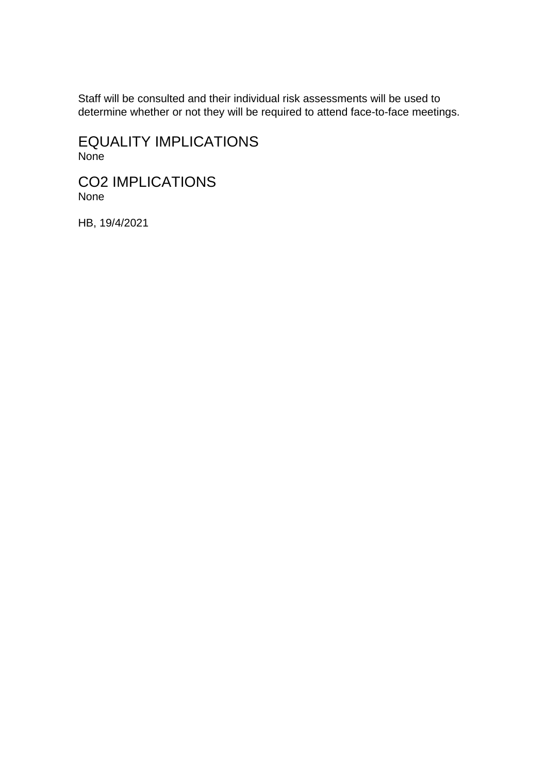Staff will be consulted and their individual risk assessments will be used to determine whether or not they will be required to attend face-to-face meetings.

EQUALITY IMPLICATIONS None

CO2 IMPLICATIONS None

HB, 19/4/2021